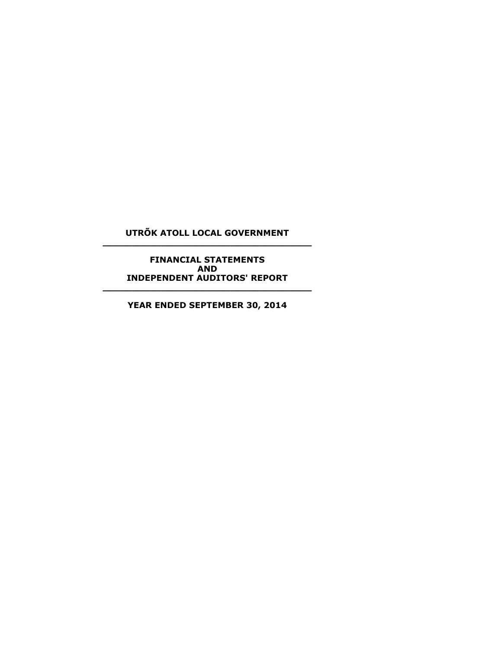# **UTRÕK ATOLL LOCAL GOVERNMENT \_\_\_\_\_\_\_\_\_\_\_\_\_\_\_\_\_\_\_\_\_\_\_\_\_\_\_\_\_\_\_\_\_\_\_\_**

**FINANCIAL STATEMENTS AND INDEPENDENT AUDITORS' REPORT**

**YEAR ENDED SEPTEMBER 30, 2014**

**\_\_\_\_\_\_\_\_\_\_\_\_\_\_\_\_\_\_\_\_\_\_\_\_\_\_\_\_\_\_\_\_\_\_\_\_**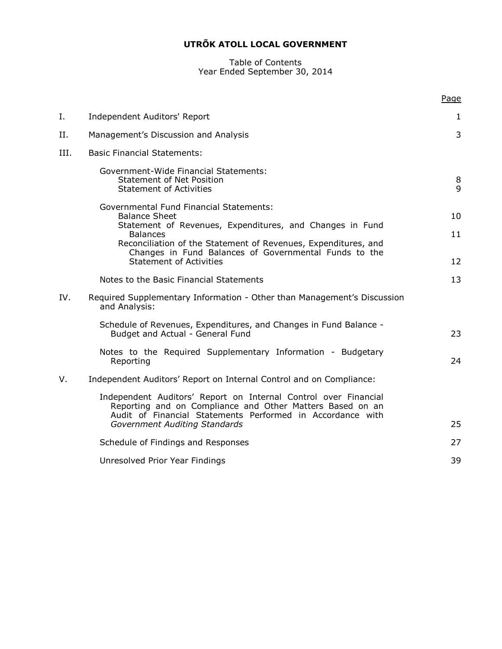#### Table of Contents Year Ended September 30, 2014

|      |                                                                                                                                                                                            | Page         |
|------|--------------------------------------------------------------------------------------------------------------------------------------------------------------------------------------------|--------------|
| Ι.   | Independent Auditors' Report                                                                                                                                                               | $\mathbf{1}$ |
| Η.   | Management's Discussion and Analysis                                                                                                                                                       | 3            |
| III. | <b>Basic Financial Statements:</b>                                                                                                                                                         |              |
|      | Government-Wide Financial Statements:<br><b>Statement of Net Position</b><br><b>Statement of Activities</b>                                                                                | 8<br>9       |
|      | <b>Governmental Fund Financial Statements:</b><br><b>Balance Sheet</b>                                                                                                                     | 10           |
|      | Statement of Revenues, Expenditures, and Changes in Fund<br><b>Balances</b>                                                                                                                | 11           |
|      | Reconciliation of the Statement of Revenues, Expenditures, and                                                                                                                             |              |
|      | Changes in Fund Balances of Governmental Funds to the<br><b>Statement of Activities</b>                                                                                                    | 12           |
|      | Notes to the Basic Financial Statements                                                                                                                                                    | 13           |
| IV.  | Required Supplementary Information - Other than Management's Discussion<br>and Analysis:                                                                                                   |              |
|      | Schedule of Revenues, Expenditures, and Changes in Fund Balance -<br>Budget and Actual - General Fund                                                                                      | 23           |
|      | Notes to the Required Supplementary Information - Budgetary<br>Reporting                                                                                                                   | 24           |
| V.   | Independent Auditors' Report on Internal Control and on Compliance:                                                                                                                        |              |
|      | Independent Auditors' Report on Internal Control over Financial<br>Reporting and on Compliance and Other Matters Based on an<br>Audit of Financial Statements Performed in Accordance with |              |
|      | Government Auditing Standards                                                                                                                                                              | 25           |
|      | Schedule of Findings and Responses                                                                                                                                                         | 27           |
|      | Unresolved Prior Year Findings                                                                                                                                                             | 39           |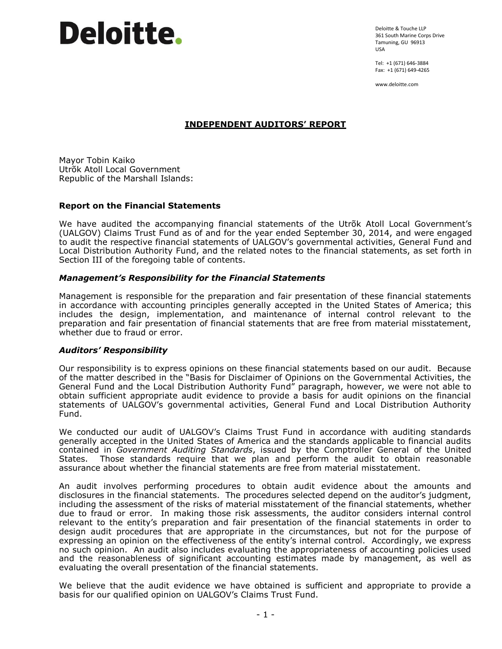Deloitte & Touche LLP 361 South Marine Corps Drive Tamuning, GU 96913 USA

Tel: +1 (671) 646-3884 Fax: +1 (671) 649-4265

www.deloitte.com

# **INDEPENDENT AUDITORS' REPORT**

Mayor Tobin Kaiko Utrõk Atoll Local Government Republic of the Marshall Islands:

#### **Report on the Financial Statements**

We have audited the accompanying financial statements of the Utrõk Atoll Local Government's (UALGOV) Claims Trust Fund as of and for the year ended September 30, 2014, and were engaged to audit the respective financial statements of UALGOV's governmental activities, General Fund and Local Distribution Authority Fund, and the related notes to the financial statements, as set forth in Section III of the foregoing table of contents.

#### *Management's Responsibility for the Financial Statements*

Management is responsible for the preparation and fair presentation of these financial statements in accordance with accounting principles generally accepted in the United States of America; this includes the design, implementation, and maintenance of internal control relevant to the preparation and fair presentation of financial statements that are free from material misstatement, whether due to fraud or error.

#### *Auditors' Responsibility*

Our responsibility is to express opinions on these financial statements based on our audit. Because of the matter described in the "Basis for Disclaimer of Opinions on the Governmental Activities, the General Fund and the Local Distribution Authority Fund" paragraph, however, we were not able to obtain sufficient appropriate audit evidence to provide a basis for audit opinions on the financial statements of UALGOV's governmental activities, General Fund and Local Distribution Authority Fund.

We conducted our audit of UALGOV's Claims Trust Fund in accordance with auditing standards generally accepted in the United States of America and the standards applicable to financial audits contained in *Government Auditing Standards*, issued by the Comptroller General of the United States. Those standards require that we plan and perform the audit to obtain reasonable assurance about whether the financial statements are free from material misstatement.

An audit involves performing procedures to obtain audit evidence about the amounts and disclosures in the financial statements. The procedures selected depend on the auditor's judgment, including the assessment of the risks of material misstatement of the financial statements, whether due to fraud or error. In making those risk assessments, the auditor considers internal control relevant to the entity's preparation and fair presentation of the financial statements in order to design audit procedures that are appropriate in the circumstances, but not for the purpose of expressing an opinion on the effectiveness of the entity's internal control. Accordingly, we express no such opinion. An audit also includes evaluating the appropriateness of accounting policies used and the reasonableness of significant accounting estimates made by management, as well as evaluating the overall presentation of the financial statements.

We believe that the audit evidence we have obtained is sufficient and appropriate to provide a basis for our qualified opinion on UALGOV's Claims Trust Fund.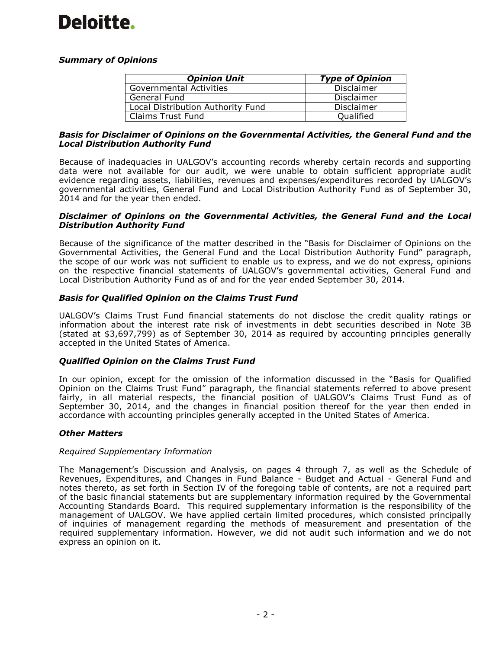# *Summary of Opinions*

| <b>Opinion Unit</b>               | <b>Type of Opinion</b> |
|-----------------------------------|------------------------|
| <b>Governmental Activities</b>    | <b>Disclaimer</b>      |
| General Fund                      | <b>Disclaimer</b>      |
| Local Distribution Authority Fund | Disclaimer             |
| <b>Claims Trust Fund</b>          | Qualified              |

#### *Basis for Disclaimer of Opinions on the Governmental Activities, the General Fund and the Local Distribution Authority Fund*

Because of inadequacies in UALGOV's accounting records whereby certain records and supporting data were not available for our audit, we were unable to obtain sufficient appropriate audit evidence regarding assets, liabilities, revenues and expenses/expenditures recorded by UALGOV's governmental activities, General Fund and Local Distribution Authority Fund as of September 30, 2014 and for the year then ended.

#### *Disclaimer of Opinions on the Governmental Activities, the General Fund and the Local Distribution Authority Fund*

Because of the significance of the matter described in the "Basis for Disclaimer of Opinions on the Governmental Activities, the General Fund and the Local Distribution Authority Fund" paragraph, the scope of our work was not sufficient to enable us to express, and we do not express, opinions on the respective financial statements of UALGOV's governmental activities, General Fund and Local Distribution Authority Fund as of and for the year ended September 30, 2014.

# *Basis for Qualified Opinion on the Claims Trust Fund*

UALGOV's Claims Trust Fund financial statements do not disclose the credit quality ratings or information about the interest rate risk of investments in debt securities described in Note 3B (stated at \$3,697,799) as of September 30, 2014 as required by accounting principles generally accepted in the United States of America.

# *Qualified Opinion on the Claims Trust Fund*

In our opinion, except for the omission of the information discussed in the "Basis for Qualified Opinion on the Claims Trust Fund" paragraph, the financial statements referred to above present fairly, in all material respects, the financial position of UALGOV's Claims Trust Fund as of September 30, 2014, and the changes in financial position thereof for the year then ended in accordance with accounting principles generally accepted in the United States of America.

# *Other Matters*

# *Required Supplementary Information*

The Management's Discussion and Analysis, on pages 4 through 7, as well as the Schedule of Revenues, Expenditures, and Changes in Fund Balance - Budget and Actual - General Fund and notes thereto, as set forth in Section IV of the foregoing table of contents, are not a required part of the basic financial statements but are supplementary information required by the Governmental Accounting Standards Board. This required supplementary information is the responsibility of the management of UALGOV. We have applied certain limited procedures, which consisted principally of inquiries of management regarding the methods of measurement and presentation of the required supplementary information. However, we did not audit such information and we do not express an opinion on it.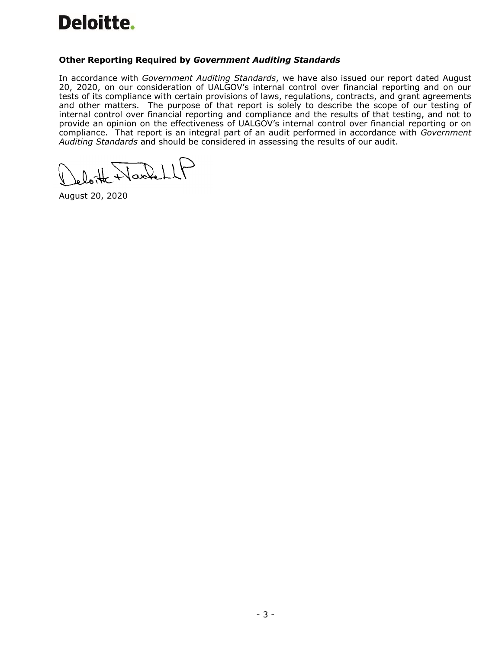# **Other Reporting Required by** *Government Auditing Standards*

In accordance with *Government Auditing Standards*, we have also issued our report dated August 20, 2020, on our consideration of UALGOV's internal control over financial reporting and on our tests of its compliance with certain provisions of laws, regulations, contracts, and grant agreements and other matters. The purpose of that report is solely to describe the scope of our testing of internal control over financial reporting and compliance and the results of that testing, and not to provide an opinion on the effectiveness of UALGOV's internal control over financial reporting or on compliance. That report is an integral part of an audit performed in accordance with *Government Auditing Standards* and should be considered in assessing the results of our audit.

 $\bigcup$ 

August 20, 2020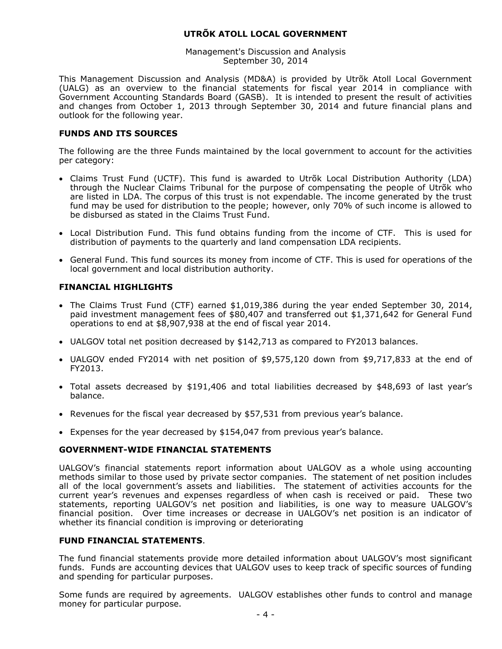Management's Discussion and Analysis September 30, 2014

This Management Discussion and Analysis (MD&A) is provided by Utrõk Atoll Local Government (UALG) as an overview to the financial statements for fiscal year 2014 in compliance with Government Accounting Standards Board (GASB). It is intended to present the result of activities and changes from October 1, 2013 through September 30, 2014 and future financial plans and outlook for the following year.

# **FUNDS AND ITS SOURCES**

The following are the three Funds maintained by the local government to account for the activities per category:

- Claims Trust Fund (UCTF). This fund is awarded to Utrõk Local Distribution Authority (LDA) through the Nuclear Claims Tribunal for the purpose of compensating the people of Utrõk who are listed in LDA. The corpus of this trust is not expendable. The income generated by the trust fund may be used for distribution to the people; however, only 70% of such income is allowed to be disbursed as stated in the Claims Trust Fund.
- Local Distribution Fund. This fund obtains funding from the income of CTF. This is used for distribution of payments to the quarterly and land compensation LDA recipients.
- General Fund. This fund sources its money from income of CTF. This is used for operations of the local government and local distribution authority.

#### **FINANCIAL HIGHLIGHTS**

- The Claims Trust Fund (CTF) earned \$1,019,386 during the year ended September 30, 2014, paid investment management fees of \$80,407 and transferred out \$1,371,642 for General Fund operations to end at \$8,907,938 at the end of fiscal year 2014.
- UALGOV total net position decreased by \$142,713 as compared to FY2013 balances.
- UALGOV ended FY2014 with net position of \$9,575,120 down from \$9,717,833 at the end of FY2013.
- Total assets decreased by \$191,406 and total liabilities decreased by \$48,693 of last year's balance.
- Revenues for the fiscal year decreased by \$57,531 from previous year's balance.
- Expenses for the year decreased by \$154,047 from previous year's balance.

#### **GOVERNMENT-WIDE FINANCIAL STATEMENTS**

UALGOV's financial statements report information about UALGOV as a whole using accounting methods similar to those used by private sector companies. The statement of net position includes all of the local government's assets and liabilities. The statement of activities accounts for the current year's revenues and expenses regardless of when cash is received or paid. These two statements, reporting UALGOV's net position and liabilities, is one way to measure UALGOV's financial position. Over time increases or decrease in UALGOV's net position is an indicator of whether its financial condition is improving or deteriorating

# **FUND FINANCIAL STATEMENTS**.

The fund financial statements provide more detailed information about UALGOV's most significant funds. Funds are accounting devices that UALGOV uses to keep track of specific sources of funding and spending for particular purposes.

Some funds are required by agreements. UALGOV establishes other funds to control and manage money for particular purpose.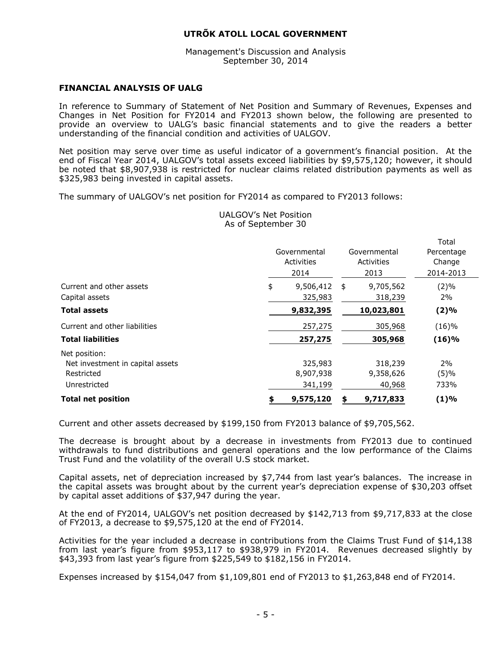Management's Discussion and Analysis September 30, 2014

#### **FINANCIAL ANALYSIS OF UALG**

In reference to Summary of Statement of Net Position and Summary of Revenues, Expenses and Changes in Net Position for FY2014 and FY2013 shown below, the following are presented to provide an overview to UALG's basic financial statements and to give the readers a better understanding of the financial condition and activities of UALGOV.

Net position may serve over time as useful indicator of a government's financial position. At the end of Fiscal Year 2014, UALGOV's total assets exceed liabilities by \$9,575,120; however, it should be noted that \$8,907,938 is restricted for nuclear claims related distribution payments as well as \$325,983 being invested in capital assets.

The summary of UALGOV's net position for FY2014 as compared to FY2013 follows:

|                                                                                 |    | Governmental<br>Activities<br>2014 | Governmental<br>Activities<br>2013 | Total<br>Percentage<br>Change<br>2014-2013 |
|---------------------------------------------------------------------------------|----|------------------------------------|------------------------------------|--------------------------------------------|
| Current and other assets<br>Capital assets                                      | \$ | 9,506,412<br>325,983               | \$<br>9,705,562<br>318,239         | $(2)\%$<br>2%                              |
| <b>Total assets</b>                                                             |    | 9,832,395                          | 10,023,801                         | $(2)\%$                                    |
| Current and other liabilities                                                   |    | 257,275                            | 305,968                            | (16)%                                      |
| <b>Total liabilities</b>                                                        |    | 257,275                            | 305,968                            | (16)%                                      |
| Net position:<br>Net investment in capital assets<br>Restricted<br>Unrestricted |    | 325,983<br>8,907,938<br>341,199    | 318,239<br>9,358,626<br>40,968     | 2%<br>(5)%<br>733%                         |
| <b>Total net position</b>                                                       | S. | 9,575,120                          | 9,717,833                          | (1)%                                       |

UALGOV's Net Position As of September 30

Current and other assets decreased by \$199,150 from FY2013 balance of \$9,705,562.

The decrease is brought about by a decrease in investments from FY2013 due to continued withdrawals to fund distributions and general operations and the low performance of the Claims Trust Fund and the volatility of the overall U.S stock market.

Capital assets, net of depreciation increased by \$7,744 from last year's balances. The increase in the capital assets was brought about by the current year's depreciation expense of \$30,203 offset by capital asset additions of \$37,947 during the year.

At the end of FY2014, UALGOV's net position decreased by \$142,713 from \$9,717,833 at the close of FY2013, a decrease to \$9,575,120 at the end of FY2014.

Activities for the year included a decrease in contributions from the Claims Trust Fund of \$14,138 from last year's figure from \$953,117 to \$938,979 in FY2014. Revenues decreased slightly by \$43,393 from last year's figure from \$225,549 to \$182,156 in FY2014.

Expenses increased by \$154,047 from \$1,109,801 end of FY2013 to \$1,263,848 end of FY2014.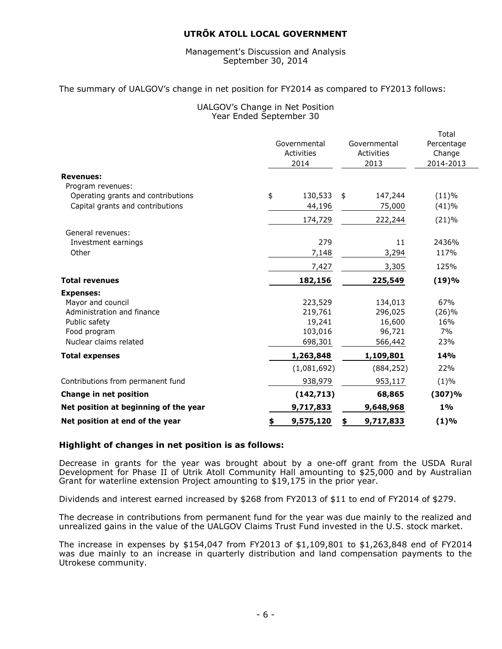#### Management's Discussion and Analysis September 30, 2014

#### The summary of UALGOV's change in net position for FY2014 as compared to FY2013 follows:

#### UALGOV's Change in Net Position Year Ended September 30

|                                                         | Governmental<br>Activities | Governmental<br>Activities | Total<br>Percentage<br>Change |
|---------------------------------------------------------|----------------------------|----------------------------|-------------------------------|
|                                                         | 2014                       | 2013                       | 2014-2013                     |
| <b>Revenues:</b>                                        |                            |                            |                               |
| Program revenues:<br>Operating grants and contributions | \$<br>130,533              | \$<br>147,244              | (11)%                         |
| Capital grants and contributions                        | 44,196                     | 75,000                     | (41)%                         |
|                                                         |                            |                            |                               |
|                                                         | 174,729                    | 222,244                    | (21)%                         |
| General revenues:                                       |                            |                            |                               |
| Investment earnings                                     | 279                        | 11                         | 2436%                         |
| Other                                                   | 7,148                      | 3,294                      | 117%                          |
|                                                         | 7,427                      | 3,305                      | 125%                          |
| <b>Total revenues</b>                                   | 182,156                    | 225,549                    | (19)%                         |
| <b>Expenses:</b>                                        |                            |                            |                               |
| Mayor and council                                       | 223,529                    | 134,013                    | 67%                           |
| Administration and finance                              | 219,761                    | 296,025                    | (26)%                         |
| Public safety                                           | 19,241                     | 16,600                     | 16%                           |
| Food program                                            | 103,016                    | 96,721                     | 7%                            |
| Nuclear claims related                                  | 698,301                    | 566,442                    | 23%                           |
| <b>Total expenses</b>                                   | 1,263,848                  | 1,109,801                  | 14%                           |
|                                                         | (1,081,692)                | (884, 252)                 | 22%                           |
| Contributions from permanent fund                       | 938,979                    | 953,117                    | $(1)\%$                       |
| <b>Change in net position</b>                           | (142, 713)                 | 68,865                     | (307)%                        |
| Net position at beginning of the year                   | 9,717,833                  | 9,648,968                  | $1\%$                         |
| Net position at end of the year                         | \$<br>9,575,120            | 9,717,833<br>\$            | (1)%                          |
|                                                         |                            |                            |                               |

#### **Highlight of changes in net position is as follows:**

Decrease in grants for the year was brought about by a one-off grant from the USDA Rural Development for Phase II of Utrik Atoll Community Hall amounting to \$25,000 and by Australian Grant for waterline extension Project amounting to \$19,175 in the prior year.

Dividends and interest earned increased by \$268 from FY2013 of \$11 to end of FY2014 of \$279.

The decrease in contributions from permanent fund for the year was due mainly to the realized and unrealized gains in the value of the UALGOV Claims Trust Fund invested in the U.S. stock market.

The increase in expenses by \$154,047 from FY2013 of \$1,109,801 to \$1,263,848 end of FY2014 was due mainly to an increase in quarterly distribution and land compensation payments to the Utrokese community.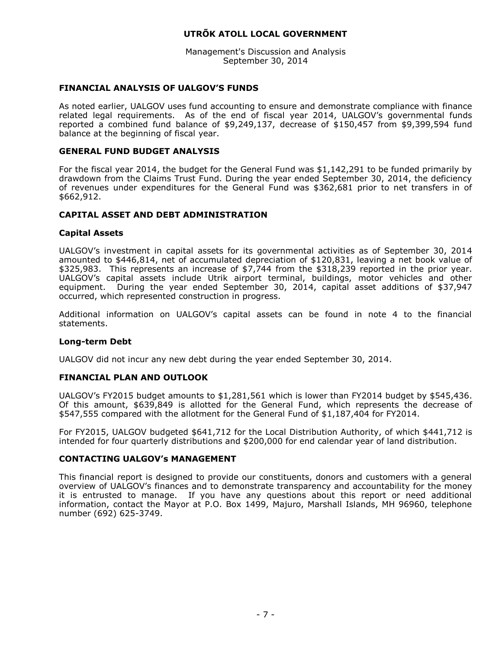Management's Discussion and Analysis September 30, 2014

#### **FINANCIAL ANALYSIS OF UALGOV'S FUNDS**

As noted earlier, UALGOV uses fund accounting to ensure and demonstrate compliance with finance related legal requirements. As of the end of fiscal year 2014, UALGOV's governmental funds reported a combined fund balance of \$9,249,137, decrease of \$150,457 from \$9,399,594 fund balance at the beginning of fiscal year.

#### **GENERAL FUND BUDGET ANALYSIS**

For the fiscal year 2014, the budget for the General Fund was \$1,142,291 to be funded primarily by drawdown from the Claims Trust Fund. During the year ended September 30, 2014, the deficiency of revenues under expenditures for the General Fund was \$362,681 prior to net transfers in of \$662,912.

#### **CAPITAL ASSET AND DEBT ADMINISTRATION**

#### **Capital Assets**

UALGOV's investment in capital assets for its governmental activities as of September 30, 2014 amounted to \$446,814, net of accumulated depreciation of \$120,831, leaving a net book value of \$325,983. This represents an increase of \$7,744 from the \$318,239 reported in the prior year. UALGOV's capital assets include Utrik airport terminal, buildings, motor vehicles and other equipment. During the year ended September 30, 2014, capital asset additions of \$37,947 occurred, which represented construction in progress.

Additional information on UALGOV's capital assets can be found in note 4 to the financial statements.

#### **Long-term Debt**

UALGOV did not incur any new debt during the year ended September 30, 2014.

#### **FINANCIAL PLAN AND OUTLOOK**

UALGOV's FY2015 budget amounts to \$1,281,561 which is lower than FY2014 budget by \$545,436. Of this amount, \$639,849 is allotted for the General Fund, which represents the decrease of \$547,555 compared with the allotment for the General Fund of \$1,187,404 for FY2014.

For FY2015, UALGOV budgeted \$641,712 for the Local Distribution Authority, of which \$441,712 is intended for four quarterly distributions and \$200,000 for end calendar year of land distribution.

#### **CONTACTING UALGOV's MANAGEMENT**

This financial report is designed to provide our constituents, donors and customers with a general overview of UALGOV's finances and to demonstrate transparency and accountability for the money it is entrusted to manage. If you have any questions about this report or need additional information, contact the Mayor at P.O. Box 1499, Majuro, Marshall Islands, MH 96960, telephone number (692) 625-3749.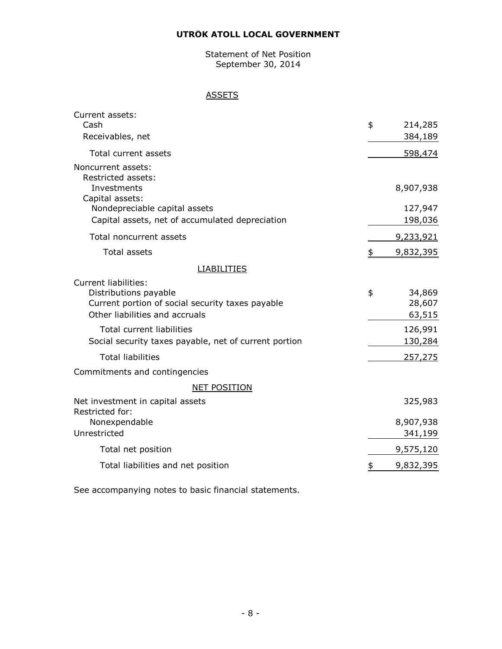Statement of Net Position September 30, 2014

# **ASSETS**

| Current assets:                                                            |                 |
|----------------------------------------------------------------------------|-----------------|
| Cash                                                                       | \$<br>214,285   |
| Receivables, net                                                           | 384,189         |
| Total current assets                                                       | 598,474         |
| Noncurrent assets:<br>Restricted assets:<br>Investments<br>Capital assets: | 8,907,938       |
| Nondepreciable capital assets                                              | 127,947         |
| Capital assets, net of accumulated depreciation                            | 198,036         |
| Total noncurrent assets                                                    | 9,233,921       |
| <b>Total assets</b>                                                        | \$<br>9,832,395 |
| <b>LIABILITIES</b>                                                         |                 |
| <b>Current liabilities:</b>                                                |                 |
| Distributions payable                                                      | \$<br>34,869    |
| Current portion of social security taxes payable                           | 28,607          |
| Other liabilities and accruals                                             | 63,515          |
| Total current liabilities                                                  | 126,991         |
| Social security taxes payable, net of current portion                      | 130,284         |
| <b>Total liabilities</b>                                                   | 257,275         |
| Commitments and contingencies                                              |                 |
| <b>NET POSITION</b>                                                        |                 |
| Net investment in capital assets<br>Restricted for:                        | 325,983         |
| Nonexpendable                                                              | 8,907,938       |
| Unrestricted                                                               | 341,199         |
| Total net position                                                         | 9,575,120       |
| Total liabilities and net position                                         | \$<br>9,832,395 |
|                                                                            |                 |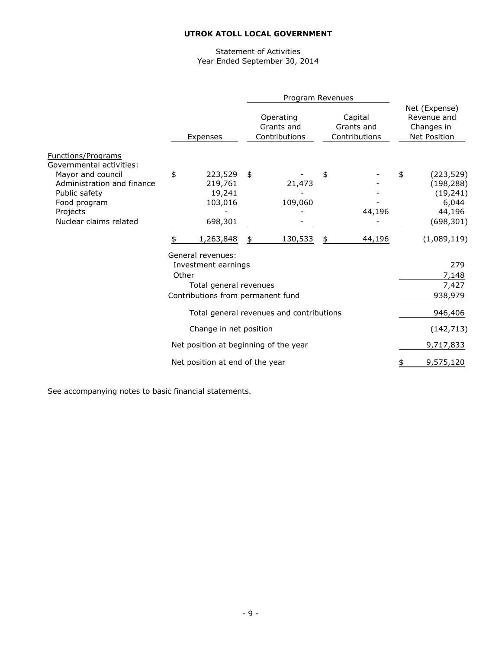#### Statement of Activities Year Ended September 30, 2014

|                                                                                                                                                                          |          |                                                                                                         | Program Revenues                         |                                        |                                                                              |
|--------------------------------------------------------------------------------------------------------------------------------------------------------------------------|----------|---------------------------------------------------------------------------------------------------------|------------------------------------------|----------------------------------------|------------------------------------------------------------------------------|
|                                                                                                                                                                          | Expenses |                                                                                                         | Operating<br>Grants and<br>Contributions | Capital<br>Grants and<br>Contributions | Net (Expense)<br>Revenue and<br>Changes in<br><b>Net Position</b>            |
| Functions/Programs<br>Governmental activities:<br>Mayor and council<br>Administration and finance<br>Public safety<br>Food program<br>Projects<br>Nuclear claims related | \$       | 223,529<br>219,761<br>19,241<br>103,016<br>698,301                                                      | \$<br>21,473<br>109,060                  | \$<br>44,196                           | \$<br>(223, 529)<br>(198, 288)<br>(19, 241)<br>6,044<br>44,196<br>(698, 301) |
|                                                                                                                                                                          | \$       | 1,263,848                                                                                               | \$<br>130,533                            | \$<br>44,196                           | (1,089,119)                                                                  |
|                                                                                                                                                                          | Other    | General revenues:<br>Investment earnings<br>Total general revenues<br>Contributions from permanent fund |                                          |                                        | 279<br>7,148<br>7,427<br>938,979                                             |
|                                                                                                                                                                          |          |                                                                                                         | Total general revenues and contributions |                                        | 946,406                                                                      |
|                                                                                                                                                                          |          | Change in net position                                                                                  |                                          |                                        | (142, 713)                                                                   |
|                                                                                                                                                                          |          | Net position at beginning of the year                                                                   |                                          |                                        | 9,717,833                                                                    |
|                                                                                                                                                                          |          | Net position at end of the year                                                                         |                                          |                                        | 9,575,120                                                                    |
|                                                                                                                                                                          |          |                                                                                                         |                                          |                                        |                                                                              |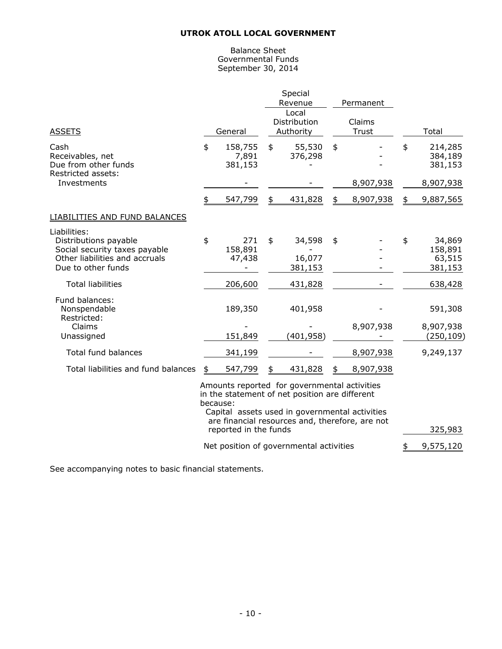#### Balance Sheet Governmental Funds September 30, 2014

| <b>ASSETS</b>                                                                                                                  | General                                                                                                                                                                                                         | Special<br>Revenue<br>Local<br>Distribution<br>Authority | Permanent<br>Claims<br><b>Trust</b> | Total                                        |
|--------------------------------------------------------------------------------------------------------------------------------|-----------------------------------------------------------------------------------------------------------------------------------------------------------------------------------------------------------------|----------------------------------------------------------|-------------------------------------|----------------------------------------------|
| Cash<br>Receivables, net<br>Due from other funds<br>Restricted assets:                                                         | \$<br>158,755<br>7,891<br>381,153                                                                                                                                                                               | \$<br>55,530<br>376,298                                  | \$                                  | \$<br>214,285<br>384,189<br>381,153          |
| Investments                                                                                                                    |                                                                                                                                                                                                                 |                                                          | 8,907,938                           | 8,907,938                                    |
|                                                                                                                                | \$<br>547,799                                                                                                                                                                                                   | \$<br>431,828                                            | \$<br>8,907,938                     | \$<br>9,887,565                              |
| LIABILITIES AND FUND BALANCES                                                                                                  |                                                                                                                                                                                                                 |                                                          |                                     |                                              |
| Liabilities:<br>Distributions payable<br>Social security taxes payable<br>Other liabilities and accruals<br>Due to other funds | \$<br>271<br>158,891<br>47,438                                                                                                                                                                                  | \$<br>34,598<br>16,077<br>381,153                        | \$                                  | \$<br>34,869<br>158,891<br>63,515<br>381,153 |
| <b>Total liabilities</b>                                                                                                       | 206,600                                                                                                                                                                                                         | 431,828                                                  |                                     | 638,428                                      |
| Fund balances:<br>Nonspendable<br>Restricted:<br>Claims<br>Unassigned                                                          | 189,350<br>151,849                                                                                                                                                                                              | 401,958<br>(401, 958)                                    | 8,907,938                           | 591,308<br>8,907,938<br>(250, 109)           |
| <b>Total fund balances</b>                                                                                                     | 341,199                                                                                                                                                                                                         |                                                          | 8,907,938                           | 9,249,137                                    |
| Total liabilities and fund balances                                                                                            | \$<br>547,799                                                                                                                                                                                                   | \$<br>431,828                                            | \$<br>8,907,938                     |                                              |
|                                                                                                                                | Amounts reported for governmental activities<br>in the statement of net position are different<br>because:<br>Capital assets used in governmental activities<br>are financial resources and, therefore, are not |                                                          |                                     |                                              |

 reported in the funds 325,983 Net position of governmental activities  $\frac{1}{2}$  9,575,120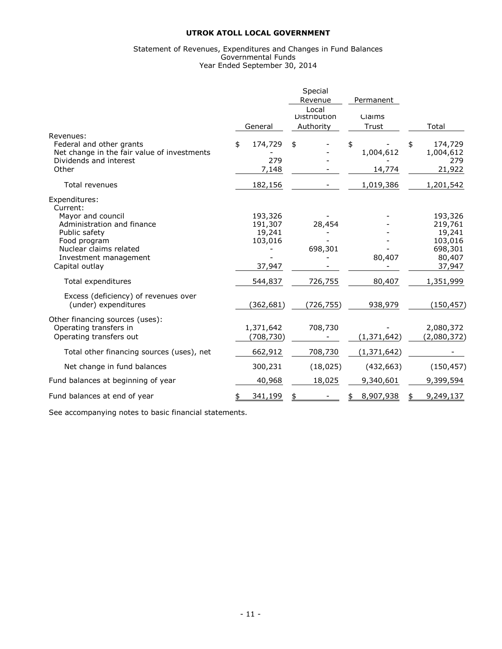#### Statement of Revenues, Expenditures and Changes in Fund Balances Governmental Funds Year Ended September 30, 2014

|                                                                                                            |                                         | Special<br>Revenue<br>Local | Permanent                 |                                             |
|------------------------------------------------------------------------------------------------------------|-----------------------------------------|-----------------------------|---------------------------|---------------------------------------------|
|                                                                                                            |                                         | <b>Distribution</b>         | Claims                    |                                             |
| Revenues:                                                                                                  | General                                 | Authority                   | Trust                     | Total                                       |
| Federal and other grants<br>Net change in the fair value of investments<br>Dividends and interest<br>Other | \$<br>174,729<br>279<br>7,148           | \$                          | \$<br>1,004,612<br>14,774 | 174,729<br>\$<br>1,004,612<br>279<br>21,922 |
| <b>Total revenues</b>                                                                                      | 182,156                                 |                             | 1,019,386                 | 1,201,542                                   |
| Expenditures:<br>Current:                                                                                  |                                         |                             |                           |                                             |
| Mayor and council<br>Administration and finance<br>Public safety<br>Food program                           | 193,326<br>191,307<br>19,241<br>103,016 | 28,454                      |                           | 193,326<br>219,761<br>19,241<br>103,016     |
| Nuclear claims related<br>Investment management<br>Capital outlay                                          | 37,947                                  | 698,301                     | 80,407                    | 698,301<br>80,407<br>37,947                 |
| Total expenditures                                                                                         | 544,837                                 | 726,755                     | 80,407                    | 1,351,999                                   |
| Excess (deficiency) of revenues over<br>(under) expenditures                                               | (362, 681)                              | (726, 755)                  | 938,979                   | (150, 457)                                  |
| Other financing sources (uses):<br>Operating transfers in<br>Operating transfers out                       | 1,371,642<br>(708,730)                  | 708,730                     | (1, 371, 642)             | 2,080,372<br>(2,080,372)                    |
| Total other financing sources (uses), net                                                                  | 662,912                                 | 708,730                     | (1, 371, 642)             |                                             |
| Net change in fund balances                                                                                | 300,231                                 | (18, 025)                   | (432, 663)                | (150, 457)                                  |
| Fund balances at beginning of year                                                                         | 40,968                                  | 18,025                      | 9,340,601                 | 9,399,594                                   |
| Fund balances at end of year                                                                               | 341,199                                 |                             | 8,907,938<br>\$           | 9,249,137                                   |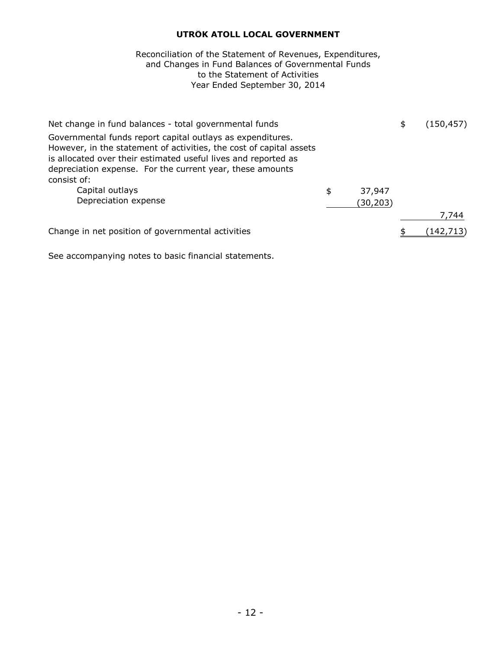# to the Statement of Activities Year Ended September 30, 2014 Reconciliation of the Statement of Revenues, Expenditures, and Changes in Fund Balances of Governmental Funds

| Net change in fund balances - total governmental funds                                                                                                                                              |              | \$<br>(150, 457) |
|-----------------------------------------------------------------------------------------------------------------------------------------------------------------------------------------------------|--------------|------------------|
| Governmental funds report capital outlays as expenditures.<br>However, in the statement of activities, the cost of capital assets<br>is allocated over their estimated useful lives and reported as |              |                  |
| depreciation expense. For the current year, these amounts                                                                                                                                           |              |                  |
| consist of:                                                                                                                                                                                         |              |                  |
| Capital outlays                                                                                                                                                                                     | \$<br>37,947 |                  |
| Depreciation expense                                                                                                                                                                                | (30, 203)    |                  |
|                                                                                                                                                                                                     |              | 7,744            |
| Change in net position of governmental activities                                                                                                                                                   |              | (142,713)        |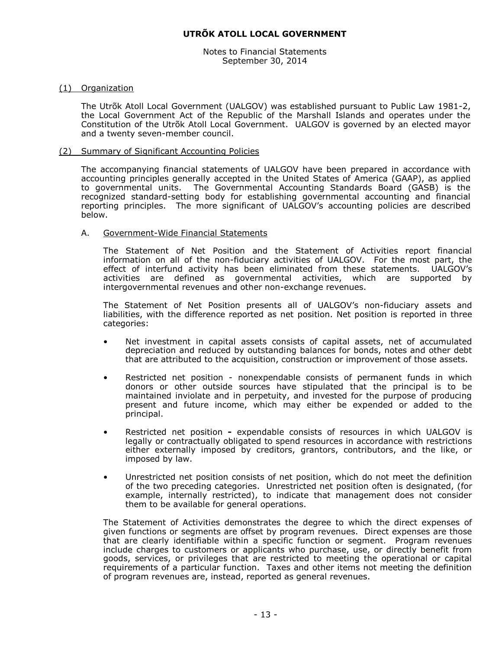Notes to Financial Statements September 30, 2014

#### (1) Organization

The Utrõk Atoll Local Government (UALGOV) was established pursuant to Public Law 1981-2, the Local Government Act of the Republic of the Marshall Islands and operates under the Constitution of the Utrõk Atoll Local Government. UALGOV is governed by an elected mayor and a twenty seven-member council.

#### (2) Summary of Significant Accounting Policies

The accompanying financial statements of UALGOV have been prepared in accordance with accounting principles generally accepted in the United States of America (GAAP), as applied to governmental units. The Governmental Accounting Standards Board (GASB) is the recognized standard-setting body for establishing governmental accounting and financial reporting principles. The more significant of UALGOV's accounting policies are described below.

#### A. Government-Wide Financial Statements

The Statement of Net Position and the Statement of Activities report financial information on all of the non-fiduciary activities of UALGOV. For the most part, the effect of interfund activity has been eliminated from these statements. UALGOV's activities are defined as governmental activities, which are supported by intergovernmental revenues and other non-exchange revenues.

The Statement of Net Position presents all of UALGOV's non-fiduciary assets and liabilities, with the difference reported as net position. Net position is reported in three categories:

- Net investment in capital assets consists of capital assets, net of accumulated depreciation and reduced by outstanding balances for bonds, notes and other debt that are attributed to the acquisition, construction or improvement of those assets.
- Restricted net position nonexpendable consists of permanent funds in which donors or other outside sources have stipulated that the principal is to be maintained inviolate and in perpetuity, and invested for the purpose of producing present and future income, which may either be expended or added to the principal.
- Restricted net position **-** expendable consists of resources in which UALGOV is legally or contractually obligated to spend resources in accordance with restrictions either externally imposed by creditors, grantors, contributors, and the like, or imposed by law.
- Unrestricted net position consists of net position, which do not meet the definition of the two preceding categories. Unrestricted net position often is designated, (for example, internally restricted), to indicate that management does not consider them to be available for general operations.

The Statement of Activities demonstrates the degree to which the direct expenses of given functions or segments are offset by program revenues. Direct expenses are those that are clearly identifiable within a specific function or segment. Program revenues include charges to customers or applicants who purchase, use, or directly benefit from goods, services, or privileges that are restricted to meeting the operational or capital requirements of a particular function. Taxes and other items not meeting the definition of program revenues are, instead, reported as general revenues.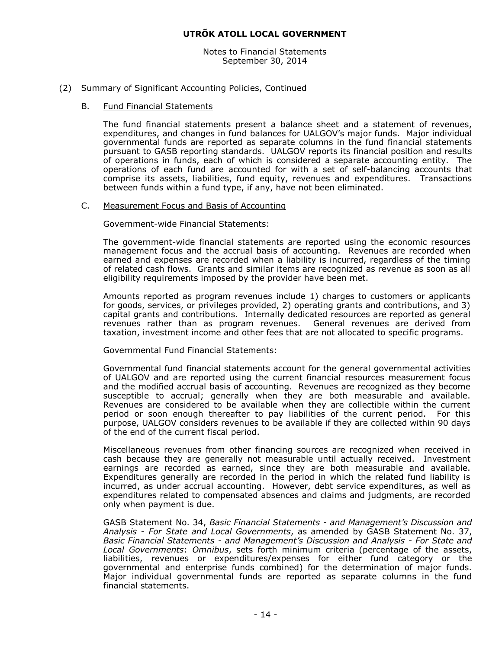Notes to Financial Statements September 30, 2014

#### (2) Summary of Significant Accounting Policies, Continued

#### B. Fund Financial Statements

The fund financial statements present a balance sheet and a statement of revenues, expenditures, and changes in fund balances for UALGOV's major funds. Major individual governmental funds are reported as separate columns in the fund financial statements pursuant to GASB reporting standards. UALGOV reports its financial position and results of operations in funds, each of which is considered a separate accounting entity. The operations of each fund are accounted for with a set of self-balancing accounts that comprise its assets, liabilities, fund equity, revenues and expenditures. Transactions between funds within a fund type, if any, have not been eliminated.

#### C. Measurement Focus and Basis of Accounting

Government-wide Financial Statements:

The government-wide financial statements are reported using the economic resources management focus and the accrual basis of accounting. Revenues are recorded when earned and expenses are recorded when a liability is incurred, regardless of the timing of related cash flows. Grants and similar items are recognized as revenue as soon as all eligibility requirements imposed by the provider have been met.

Amounts reported as program revenues include 1) charges to customers or applicants for goods, services, or privileges provided, 2) operating grants and contributions, and 3) capital grants and contributions. Internally dedicated resources are reported as general revenues rather than as program revenues. General revenues are derived from taxation, investment income and other fees that are not allocated to specific programs.

Governmental Fund Financial Statements:

Governmental fund financial statements account for the general governmental activities of UALGOV and are reported using the current financial resources measurement focus and the modified accrual basis of accounting. Revenues are recognized as they become susceptible to accrual; generally when they are both measurable and available. Revenues are considered to be available when they are collectible within the current period or soon enough thereafter to pay liabilities of the current period. For this purpose, UALGOV considers revenues to be available if they are collected within 90 days of the end of the current fiscal period.

Miscellaneous revenues from other financing sources are recognized when received in cash because they are generally not measurable until actually received. Investment earnings are recorded as earned, since they are both measurable and available. Expenditures generally are recorded in the period in which the related fund liability is incurred, as under accrual accounting. However, debt service expenditures, as well as expenditures related to compensated absences and claims and judgments, are recorded only when payment is due.

GASB Statement No. 34, *Basic Financial Statements - and Management's Discussion and Analysis - For State and Local Governments*, as amended by GASB Statement No. 37, *Basic Financial Statements - and Management's Discussion and Analysis - For State and Local Governments*: *Omnibus*, sets forth minimum criteria (percentage of the assets, liabilities, revenues or expenditures/expenses for either fund category or the governmental and enterprise funds combined) for the determination of major funds. Major individual governmental funds are reported as separate columns in the fund financial statements.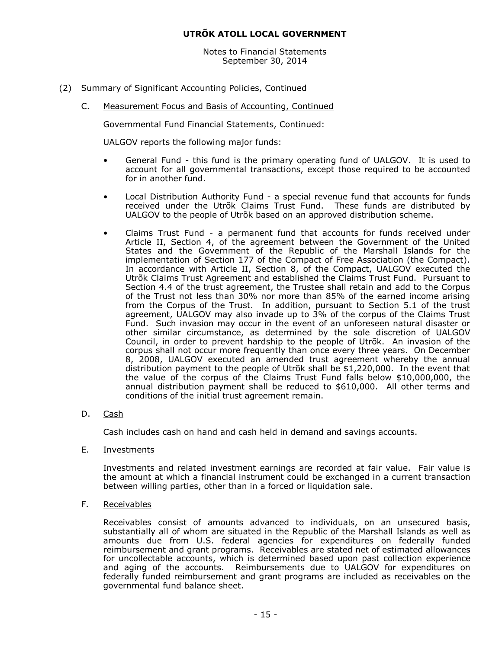Notes to Financial Statements September 30, 2014

# (2) Summary of Significant Accounting Policies, Continued

C. Measurement Focus and Basis of Accounting, Continued

Governmental Fund Financial Statements, Continued:

UALGOV reports the following major funds:

- General Fund this fund is the primary operating fund of UALGOV. It is used to account for all governmental transactions, except those required to be accounted for in another fund.
- Local Distribution Authority Fund a special revenue fund that accounts for funds received under the Utrõk Claims Trust Fund. These funds are distributed by UALGOV to the people of Utrõk based on an approved distribution scheme.
- Claims Trust Fund a permanent fund that accounts for funds received under Article II, Section 4, of the agreement between the Government of the United States and the Government of the Republic of the Marshall Islands for the implementation of Section 177 of the Compact of Free Association (the Compact). In accordance with Article II, Section 8, of the Compact, UALGOV executed the Utrõk Claims Trust Agreement and established the Claims Trust Fund. Pursuant to Section 4.4 of the trust agreement, the Trustee shall retain and add to the Corpus of the Trust not less than 30% nor more than 85% of the earned income arising from the Corpus of the Trust. In addition, pursuant to Section 5.1 of the trust agreement, UALGOV may also invade up to 3% of the corpus of the Claims Trust Fund. Such invasion may occur in the event of an unforeseen natural disaster or other similar circumstance, as determined by the sole discretion of UALGOV Council, in order to prevent hardship to the people of Utrõk. An invasion of the corpus shall not occur more frequently than once every three years. On December 8, 2008, UALGOV executed an amended trust agreement whereby the annual distribution payment to the people of Utrõk shall be \$1,220,000. In the event that the value of the corpus of the Claims Trust Fund falls below \$10,000,000, the annual distribution payment shall be reduced to \$610,000. All other terms and conditions of the initial trust agreement remain.
- D. Cash

Cash includes cash on hand and cash held in demand and savings accounts.

E. Investments

Investments and related investment earnings are recorded at fair value. Fair value is the amount at which a financial instrument could be exchanged in a current transaction between willing parties, other than in a forced or liquidation sale.

F. Receivables

Receivables consist of amounts advanced to individuals, on an unsecured basis, substantially all of whom are situated in the Republic of the Marshall Islands as well as amounts due from U.S. federal agencies for expenditures on federally funded reimbursement and grant programs. Receivables are stated net of estimated allowances for uncollectable accounts, which is determined based upon past collection experience and aging of the accounts. Reimbursements due to UALGOV for expenditures on federally funded reimbursement and grant programs are included as receivables on the governmental fund balance sheet.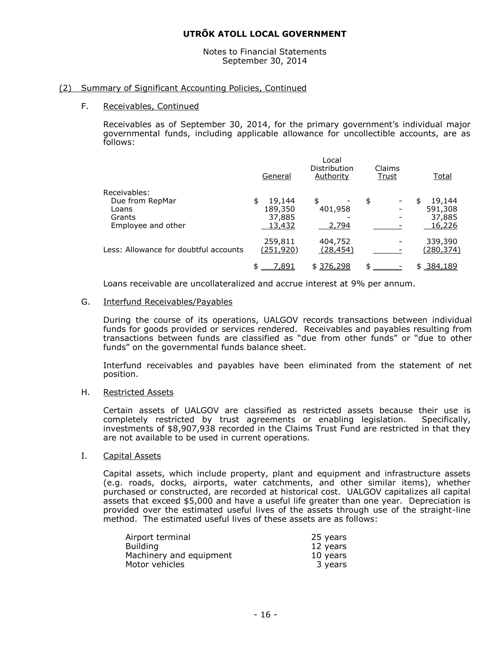Notes to Financial Statements September 30, 2014

#### (2) Summary of Significant Accounting Policies, Continued

#### F. Receivables, Continued

Receivables as of September 30, 2014, for the primary government's individual major governmental funds, including applicable allowance for uncollectible accounts, are as follows:

|                                                                          | General                                     | Local<br>Distribution<br>Authority | Claims<br><u>Trust</u> | Total                                 |
|--------------------------------------------------------------------------|---------------------------------------------|------------------------------------|------------------------|---------------------------------------|
| Receivables:<br>Due from RepMar<br>Loans<br>Grants<br>Employee and other | 19,144<br>\$<br>189,350<br>37,885<br>13,432 | \$<br>401,958<br>2,794             | \$                     | 19,144<br>591,308<br>37,885<br>16,226 |
| Less: Allowance for doubtful accounts                                    | 259,811<br>(251, 920)                       | 404,752<br>(28, 454)               |                        | 339,390<br>(280, 374)                 |
|                                                                          | 7,891                                       | \$376,298                          | ፍ                      | <u>\$384,189</u>                      |

Loans receivable are uncollateralized and accrue interest at 9% per annum.

#### G. Interfund Receivables/Payables

During the course of its operations, UALGOV records transactions between individual funds for goods provided or services rendered. Receivables and payables resulting from transactions between funds are classified as "due from other funds" or "due to other funds" on the governmental funds balance sheet.

Interfund receivables and payables have been eliminated from the statement of net position.

#### H. Restricted Assets

Certain assets of UALGOV are classified as restricted assets because their use is completely restricted by trust agreements or enabling legislation. Specifically, investments of \$8,907,938 recorded in the Claims Trust Fund are restricted in that they are not available to be used in current operations.

#### I. Capital Assets

Capital assets, which include property, plant and equipment and infrastructure assets (e.g. roads, docks, airports, water catchments, and other similar items), whether purchased or constructed, are recorded at historical cost. UALGOV capitalizes all capital assets that exceed \$5,000 and have a useful life greater than one year. Depreciation is provided over the estimated useful lives of the assets through use of the straight-line method. The estimated useful lives of these assets are as follows:

| Airport terminal        | 25 years |
|-------------------------|----------|
| <b>Building</b>         | 12 years |
| Machinery and equipment | 10 years |
| Motor vehicles          | 3 years  |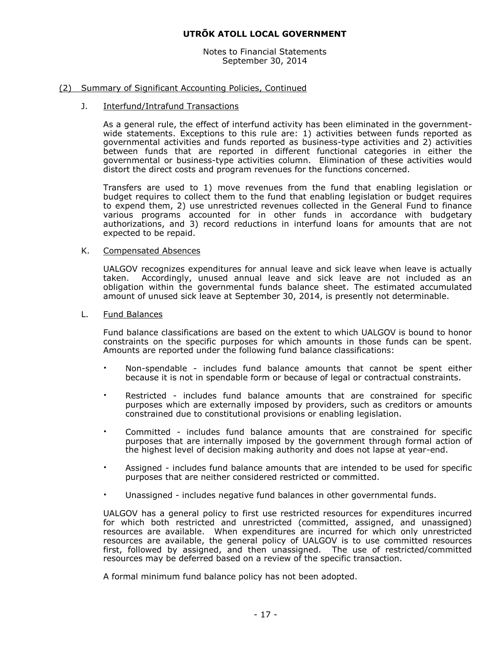Notes to Financial Statements September 30, 2014

#### (2) Summary of Significant Accounting Policies, Continued

#### J. Interfund/Intrafund Transactions

As a general rule, the effect of interfund activity has been eliminated in the governmentwide statements. Exceptions to this rule are: 1) activities between funds reported as governmental activities and funds reported as business-type activities and 2) activities between funds that are reported in different functional categories in either the governmental or business-type activities column. Elimination of these activities would distort the direct costs and program revenues for the functions concerned.

Transfers are used to 1) move revenues from the fund that enabling legislation or budget requires to collect them to the fund that enabling legislation or budget requires to expend them, 2) use unrestricted revenues collected in the General Fund to finance various programs accounted for in other funds in accordance with budgetary authorizations, and 3) record reductions in interfund loans for amounts that are not expected to be repaid.

#### K. Compensated Absences

UALGOV recognizes expenditures for annual leave and sick leave when leave is actually taken. Accordingly, unused annual leave and sick leave are not included as an obligation within the governmental funds balance sheet. The estimated accumulated amount of unused sick leave at September 30, 2014, is presently not determinable.

#### L. Fund Balances

Fund balance classifications are based on the extent to which UALGOV is bound to honor constraints on the specific purposes for which amounts in those funds can be spent. Amounts are reported under the following fund balance classifications:

- Non-spendable includes fund balance amounts that cannot be spent either because it is not in spendable form or because of legal or contractual constraints.
- Restricted includes fund balance amounts that are constrained for specific purposes which are externally imposed by providers, such as creditors or amounts constrained due to constitutional provisions or enabling legislation.
- Committed includes fund balance amounts that are constrained for specific purposes that are internally imposed by the government through formal action of the highest level of decision making authority and does not lapse at year-end.
- Assigned includes fund balance amounts that are intended to be used for specific purposes that are neither considered restricted or committed.
- Unassigned includes negative fund balances in other governmental funds.

UALGOV has a general policy to first use restricted resources for expenditures incurred for which both restricted and unrestricted (committed, assigned, and unassigned) resources are available. When expenditures are incurred for which only unrestricted resources are available, the general policy of UALGOV is to use committed resources first, followed by assigned, and then unassigned. The use of restricted/committed resources may be deferred based on a review of the specific transaction.

A formal minimum fund balance policy has not been adopted.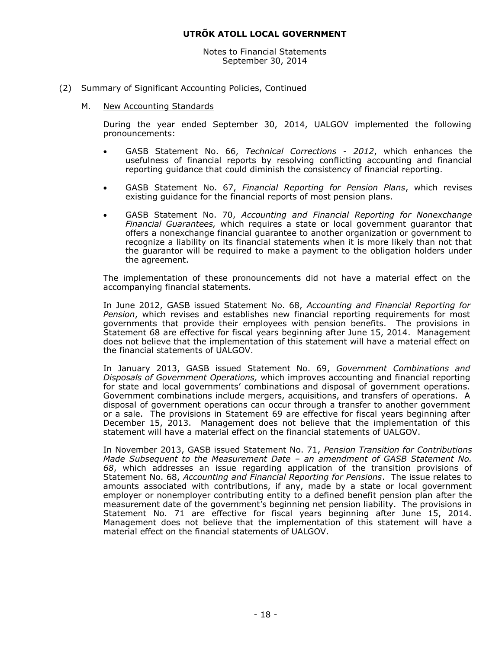Notes to Financial Statements September 30, 2014

#### (2) Summary of Significant Accounting Policies, Continued

#### M. New Accounting Standards

During the year ended September 30, 2014, UALGOV implemented the following pronouncements:

- GASB Statement No. 66, *Technical Corrections - 2012*, which enhances the usefulness of financial reports by resolving conflicting accounting and financial reporting guidance that could diminish the consistency of financial reporting.
- GASB Statement No. 67, *Financial Reporting for Pension Plans*, which revises existing guidance for the financial reports of most pension plans.
- GASB Statement No. 70, *Accounting and Financial Reporting for Nonexchange Financial Guarantees,* which requires a state or local government guarantor that offers a nonexchange financial guarantee to another organization or government to recognize a liability on its financial statements when it is more likely than not that the guarantor will be required to make a payment to the obligation holders under the agreement.

The implementation of these pronouncements did not have a material effect on the accompanying financial statements.

In June 2012, GASB issued Statement No. 68, *Accounting and Financial Reporting for Pension*, which revises and establishes new financial reporting requirements for most governments that provide their employees with pension benefits. The provisions in Statement 68 are effective for fiscal years beginning after June 15, 2014. Management does not believe that the implementation of this statement will have a material effect on the financial statements of UALGOV.

In January 2013, GASB issued Statement No. 69, *Government Combinations and Disposals of Government Operations,* which improves accounting and financial reporting for state and local governments' combinations and disposal of government operations. Government combinations include mergers, acquisitions, and transfers of operations. A disposal of government operations can occur through a transfer to another government or a sale. The provisions in Statement 69 are effective for fiscal years beginning after December 15, 2013. Management does not believe that the implementation of this statement will have a material effect on the financial statements of UALGOV.

In November 2013, GASB issued Statement No. 71, *Pension Transition for Contributions Made Subsequent to the Measurement Date – an amendment of GASB Statement No. 68*, which addresses an issue regarding application of the transition provisions of Statement No. 68, *Accounting and Financial Reporting for Pensions*. The issue relates to amounts associated with contributions, if any, made by a state or local government employer or nonemployer contributing entity to a defined benefit pension plan after the measurement date of the government's beginning net pension liability. The provisions in Statement No. 71 are effective for fiscal years beginning after June 15, 2014. Management does not believe that the implementation of this statement will have a material effect on the financial statements of UALGOV.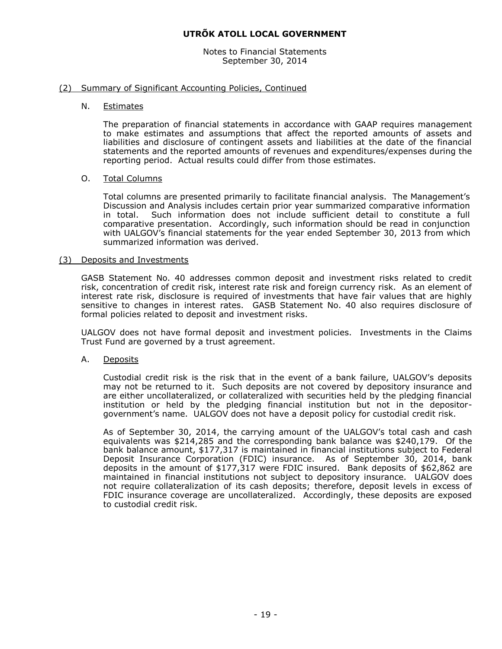Notes to Financial Statements September 30, 2014

#### (2) Summary of Significant Accounting Policies, Continued

#### N. Estimates

The preparation of financial statements in accordance with GAAP requires management to make estimates and assumptions that affect the reported amounts of assets and liabilities and disclosure of contingent assets and liabilities at the date of the financial statements and the reported amounts of revenues and expenditures/expenses during the reporting period. Actual results could differ from those estimates.

#### O. Total Columns

Total columns are presented primarily to facilitate financial analysis. The Management's Discussion and Analysis includes certain prior year summarized comparative information in total. Such information does not include sufficient detail to constitute a full comparative presentation. Accordingly, such information should be read in conjunction with UALGOV's financial statements for the year ended September 30, 2013 from which summarized information was derived.

#### (3) Deposits and Investments

GASB Statement No. 40 addresses common deposit and investment risks related to credit risk, concentration of credit risk, interest rate risk and foreign currency risk. As an element of interest rate risk, disclosure is required of investments that have fair values that are highly sensitive to changes in interest rates. GASB Statement No. 40 also requires disclosure of formal policies related to deposit and investment risks.

UALGOV does not have formal deposit and investment policies. Investments in the Claims Trust Fund are governed by a trust agreement.

#### A. Deposits

Custodial credit risk is the risk that in the event of a bank failure, UALGOV's deposits may not be returned to it. Such deposits are not covered by depository insurance and are either uncollateralized, or collateralized with securities held by the pledging financial institution or held by the pledging financial institution but not in the depositorgovernment's name. UALGOV does not have a deposit policy for custodial credit risk.

As of September 30, 2014, the carrying amount of the UALGOV's total cash and cash equivalents was \$214,285 and the corresponding bank balance was \$240,179. Of the bank balance amount, \$177,317 is maintained in financial institutions subject to Federal Deposit Insurance Corporation (FDIC) insurance. As of September 30, 2014, bank deposits in the amount of \$177,317 were FDIC insured. Bank deposits of \$62,862 are maintained in financial institutions not subject to depository insurance. UALGOV does not require collateralization of its cash deposits; therefore, deposit levels in excess of FDIC insurance coverage are uncollateralized. Accordingly, these deposits are exposed to custodial credit risk.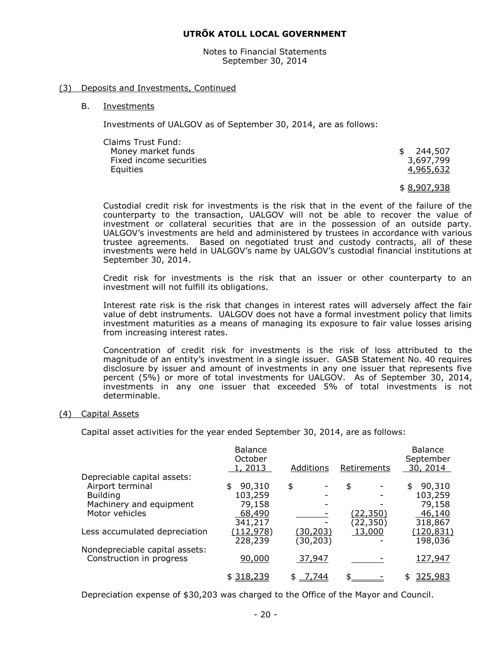Notes to Financial Statements September 30, 2014

#### (3) Deposits and Investments, Continued

#### B. Investments

Investments of UALGOV as of September 30, 2014, are as follows:

| Claims Trust Fund:      |           |
|-------------------------|-----------|
| Money market funds      | \$244,507 |
| Fixed income securities | 3,697,799 |
| Equities                | 4,965,632 |
|                         |           |

\$ 8,907,938

Custodial credit risk for investments is the risk that in the event of the failure of the counterparty to the transaction, UALGOV will not be able to recover the value of investment or collateral securities that are in the possession of an outside party. UALGOV's investments are held and administered by trustees in accordance with various trustee agreements. Based on negotiated trust and custody contracts, all of these investments were held in UALGOV's name by UALGOV's custodial financial institutions at September 30, 2014.

Credit risk for investments is the risk that an issuer or other counterparty to an investment will not fulfill its obligations.

Interest rate risk is the risk that changes in interest rates will adversely affect the fair value of debt instruments. UALGOV does not have a formal investment policy that limits investment maturities as a means of managing its exposure to fair value losses arising from increasing interest rates.

Concentration of credit risk for investments is the risk of loss attributed to the magnitude of an entity's investment in a single issuer. GASB Statement No. 40 requires disclosure by issuer and amount of investments in any one issuer that represents five percent (5%) or more of total investments for UALGOV. As of September 30, 2014, investments in any one issuer that exceeded 5% of total investments is not determinable.

#### (4) Capital Assets

Capital asset activities for the year ended September 30, 2014, are as follows:

| <b>Balance</b><br>October |             |                 | <b>Balance</b><br>September |
|---------------------------|-------------|-----------------|-----------------------------|
| 1, 2013                   | Additions   | Retirements     | 30, 2014                    |
|                           |             |                 |                             |
| 90,310<br>\$              | \$          | \$              | 90,310<br>\$                |
| 103,259                   |             |                 | 103,259                     |
| 79,158                    |             |                 | 79,158                      |
| 68,490                    |             | <u>(22,350)</u> | 46,140                      |
| 341,217                   |             | (22, 350)       | 318,867                     |
| (112, 978)                | (30, 203)   | 13,000          | <u>(120,831)</u>            |
| 228,239                   | (30, 203)   |                 | 198,036                     |
|                           |             |                 |                             |
|                           | 37,947      |                 | 127,947                     |
| \$318,239                 | 7,744<br>\$ |                 | 325,983<br>\$               |
|                           | 90,000      |                 |                             |

Depreciation expense of \$30,203 was charged to the Office of the Mayor and Council.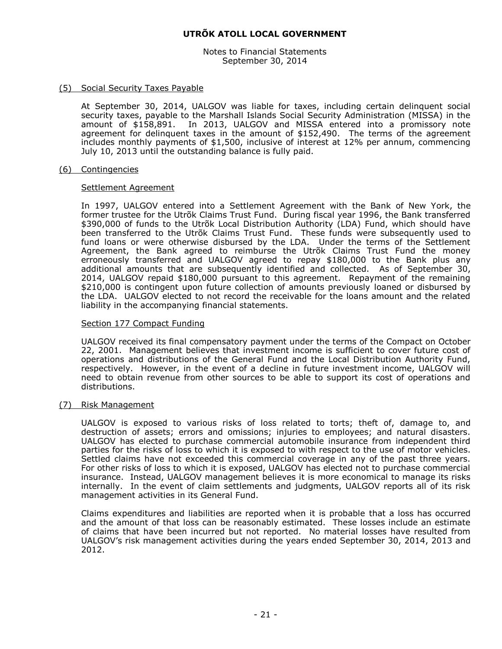Notes to Financial Statements September 30, 2014

#### (5) Social Security Taxes Payable

At September 30, 2014, UALGOV was liable for taxes, including certain delinquent social security taxes, payable to the Marshall Islands Social Security Administration (MISSA) in the amount of \$158,891. In 2013, UALGOV and MISSA entered into a promissory note agreement for delinquent taxes in the amount of \$152,490. The terms of the agreement includes monthly payments of \$1,500, inclusive of interest at 12% per annum, commencing July 10, 2013 until the outstanding balance is fully paid.

#### (6) Contingencies

#### Settlement Agreement

In 1997, UALGOV entered into a Settlement Agreement with the Bank of New York, the former trustee for the Utrõk Claims Trust Fund. During fiscal year 1996, the Bank transferred \$390,000 of funds to the Utrõk Local Distribution Authority (LDA) Fund, which should have been transferred to the Utrõk Claims Trust Fund. These funds were subsequently used to fund loans or were otherwise disbursed by the LDA. Under the terms of the Settlement Agreement, the Bank agreed to reimburse the Utrõk Claims Trust Fund the money erroneously transferred and UALGOV agreed to repay \$180,000 to the Bank plus any additional amounts that are subsequently identified and collected. As of September 30, 2014, UALGOV repaid \$180,000 pursuant to this agreement. Repayment of the remaining \$210,000 is contingent upon future collection of amounts previously loaned or disbursed by the LDA. UALGOV elected to not record the receivable for the loans amount and the related liability in the accompanying financial statements.

#### Section 177 Compact Funding

UALGOV received its final compensatory payment under the terms of the Compact on October 22, 2001. Management believes that investment income is sufficient to cover future cost of operations and distributions of the General Fund and the Local Distribution Authority Fund, respectively. However, in the event of a decline in future investment income, UALGOV will need to obtain revenue from other sources to be able to support its cost of operations and distributions.

#### (7) Risk Management

UALGOV is exposed to various risks of loss related to torts; theft of, damage to, and destruction of assets; errors and omissions; injuries to employees; and natural disasters. UALGOV has elected to purchase commercial automobile insurance from independent third parties for the risks of loss to which it is exposed to with respect to the use of motor vehicles. Settled claims have not exceeded this commercial coverage in any of the past three years. For other risks of loss to which it is exposed, UALGOV has elected not to purchase commercial insurance. Instead, UALGOV management believes it is more economical to manage its risks internally. In the event of claim settlements and judgments, UALGOV reports all of its risk management activities in its General Fund.

Claims expenditures and liabilities are reported when it is probable that a loss has occurred and the amount of that loss can be reasonably estimated. These losses include an estimate of claims that have been incurred but not reported. No material losses have resulted from UALGOV's risk management activities during the years ended September 30, 2014, 2013 and 2012.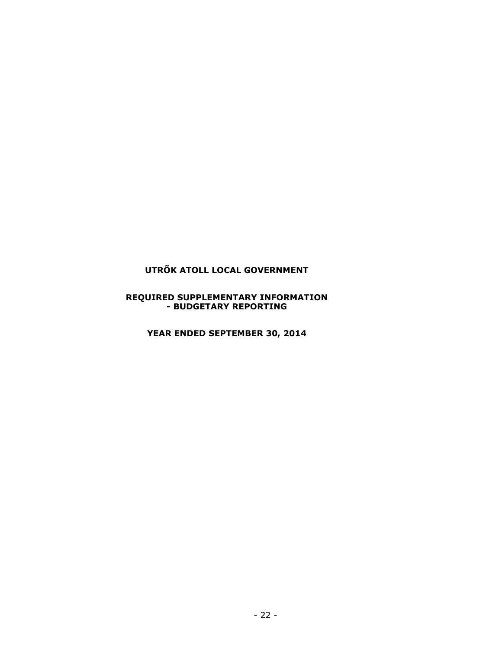#### **REQUIRED SUPPLEMENTARY INFORMATION - BUDGETARY REPORTING**

**YEAR ENDED SEPTEMBER 30, 2014**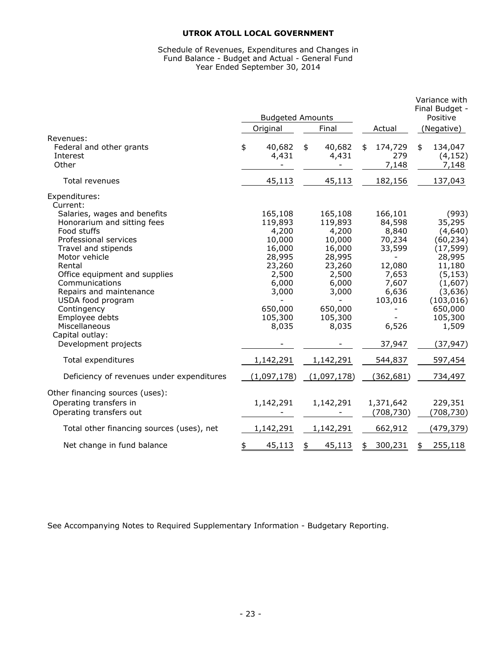#### Schedule of Revenues, Expenditures and Changes in Fund Balance - Budget and Actual - General Fund Year Ended September 30, 2014

|                                                                                                           | <b>Budgeted Amounts</b> |                                     |    |                                     |                                              | Variance with<br>Final Budget -<br>Positive |                                                        |
|-----------------------------------------------------------------------------------------------------------|-------------------------|-------------------------------------|----|-------------------------------------|----------------------------------------------|---------------------------------------------|--------------------------------------------------------|
|                                                                                                           |                         | Original                            |    | Final                               | Actual                                       |                                             | (Negative)                                             |
| Revenues:<br>Federal and other grants<br>Interest<br>Other                                                | \$                      | 40,682<br>4,431                     | \$ | 40,682<br>4,431                     | \$<br>174,729<br>279<br>7,148                | \$                                          | 134,047<br>(4, 152)<br>7,148                           |
| Total revenues                                                                                            |                         | 45,113                              |    | 45,113                              | 182,156                                      |                                             | 137,043                                                |
| Expenditures:<br>Current:<br>Salaries, wages and benefits<br>Honorarium and sitting fees<br>Food stuffs   |                         | 165,108<br>119,893                  |    | 165,108<br>119,893                  | 166,101<br>84,598                            |                                             | (993)<br>35,295                                        |
| Professional services<br>Travel and stipends<br>Motor vehicle                                             |                         | 4,200<br>10,000<br>16,000<br>28,995 |    | 4,200<br>10,000<br>16,000<br>28,995 | 8,840<br>70,234<br>33,599                    |                                             | (4,640)<br>(60, 234)<br>(17, 599)<br>28,995            |
| Rental<br>Office equipment and supplies<br>Communications<br>Repairs and maintenance<br>USDA food program |                         | 23,260<br>2,500<br>6,000<br>3,000   |    | 23,260<br>2,500<br>6,000<br>3,000   | 12,080<br>7,653<br>7,607<br>6,636<br>103,016 |                                             | 11,180<br>(5, 153)<br>(1,607)<br>(3,636)<br>(103, 016) |
| Contingency<br>Employee debts<br>Miscellaneous<br>Capital outlay:<br>Development projects                 |                         | 650,000<br>105,300<br>8,035         |    | 650,000<br>105,300<br>8,035         | 6,526<br>37,947                              |                                             | 650,000<br>105,300<br>1,509<br>(37, 947)               |
| Total expenditures                                                                                        |                         | 1,142,291                           |    | 1,142,291                           | 544,837                                      |                                             | 597,454                                                |
| Deficiency of revenues under expenditures                                                                 |                         | (1,097,178)                         |    | (1,097,178)                         | (362, 681)                                   |                                             | 734,497                                                |
| Other financing sources (uses):<br>Operating transfers in<br>Operating transfers out                      |                         | 1,142,291                           |    | 1,142,291                           | 1,371,642<br>(708, 730)                      |                                             | 229,351<br>(708, 730)                                  |
| Total other financing sources (uses), net                                                                 |                         | 1,142,291                           |    | 1,142,291                           | 662,912                                      |                                             | (479,379)                                              |
| Net change in fund balance                                                                                | \$                      | 45,113                              | \$ | 45,113                              | \$<br>300,231                                | \$                                          | 255,118                                                |

See Accompanying Notes to Required Supplementary Information - Budgetary Reporting.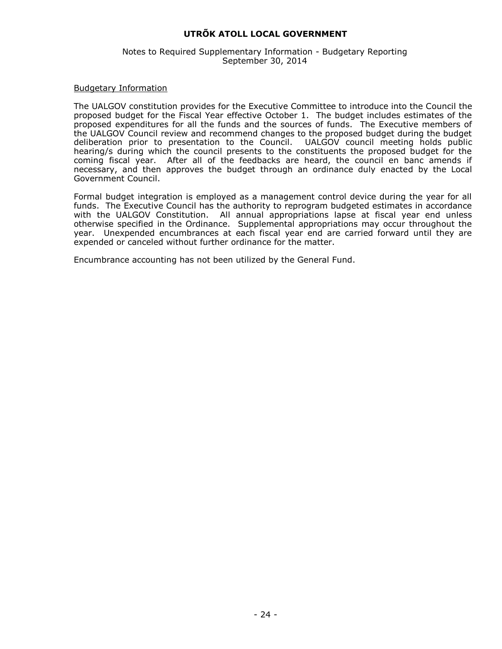#### Notes to Required Supplementary Information - Budgetary Reporting September 30, 2014

#### Budgetary Information

The UALGOV constitution provides for the Executive Committee to introduce into the Council the proposed budget for the Fiscal Year effective October 1. The budget includes estimates of the proposed expenditures for all the funds and the sources of funds. The Executive members of the UALGOV Council review and recommend changes to the proposed budget during the budget deliberation prior to presentation to the Council. UALGOV council meeting holds public hearing/s during which the council presents to the constituents the proposed budget for the coming fiscal year. After all of the feedbacks are heard, the council en banc amends if necessary, and then approves the budget through an ordinance duly enacted by the Local Government Council.

Formal budget integration is employed as a management control device during the year for all funds. The Executive Council has the authority to reprogram budgeted estimates in accordance with the UALGOV Constitution. All annual appropriations lapse at fiscal year end unless otherwise specified in the Ordinance. Supplemental appropriations may occur throughout the year. Unexpended encumbrances at each fiscal year end are carried forward until they are expended or canceled without further ordinance for the matter.

Encumbrance accounting has not been utilized by the General Fund.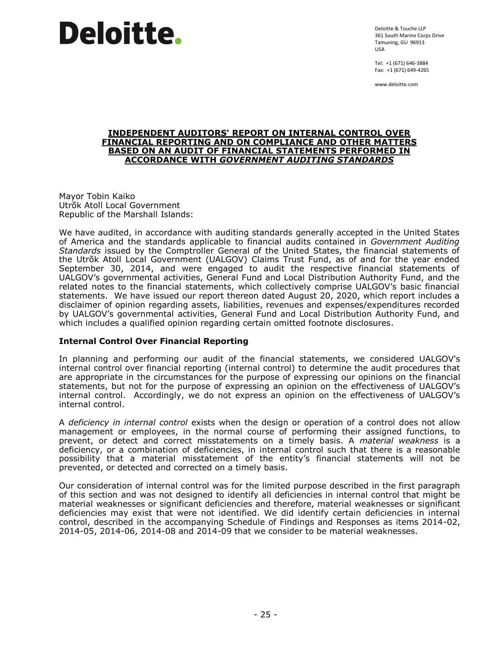Deloitte & Touche LLP 361 South Marine Corps Drive Tamuning, GU 96913 USA

Tel: +1 (671) 646-3884 Fax: +1 (671) 649-4265

www.deloitte.com

#### **INDEPENDENT AUDITORS' REPORT ON INTERNAL CONTROL OVER FINANCIAL REPORTING AND ON COMPLIANCE AND OTHER MATTERS BASED ON AN AUDIT OF FINANCIAL STATEMENTS PERFORMED IN ACCORDANCE WITH** *GOVERNMENT AUDITING STANDARDS*

Mayor Tobin Kaiko Utrõk Atoll Local Government Republic of the Marshall Islands:

We have audited, in accordance with auditing standards generally accepted in the United States of America and the standards applicable to financial audits contained in *Government Auditing Standards* issued by the Comptroller General of the United States, the financial statements of the Utrõk Atoll Local Government (UALGOV) Claims Trust Fund, as of and for the year ended September 30, 2014, and were engaged to audit the respective financial statements of UALGOV's governmental activities, General Fund and Local Distribution Authority Fund, and the related notes to the financial statements, which collectively comprise UALGOV's basic financial statements. We have issued our report thereon dated August 20, 2020, which report includes a disclaimer of opinion regarding assets, liabilities, revenues and expenses/expenditures recorded by UALGOV's governmental activities, General Fund and Local Distribution Authority Fund, and which includes a qualified opinion regarding certain omitted footnote disclosures.

# **Internal Control Over Financial Reporting**

In planning and performing our audit of the financial statements, we considered UALGOV's internal control over financial reporting (internal control) to determine the audit procedures that are appropriate in the circumstances for the purpose of expressing our opinions on the financial statements, but not for the purpose of expressing an opinion on the effectiveness of UALGOV's internal control. Accordingly, we do not express an opinion on the effectiveness of UALGOV's internal control.

A *deficiency in internal control* exists when the design or operation of a control does not allow management or employees, in the normal course of performing their assigned functions, to prevent, or detect and correct misstatements on a timely basis. A *material weakness* is a deficiency, or a combination of deficiencies, in internal control such that there is a reasonable possibility that a material misstatement of the entity's financial statements will not be prevented, or detected and corrected on a timely basis.

Our consideration of internal control was for the limited purpose described in the first paragraph of this section and was not designed to identify all deficiencies in internal control that might be material weaknesses or significant deficiencies and therefore, material weaknesses or significant deficiencies may exist that were not identified. We did identify certain deficiencies in internal control, described in the accompanying Schedule of Findings and Responses as items 2014-02, 2014-05, 2014-06, 2014-08 and 2014-09 that we consider to be material weaknesses.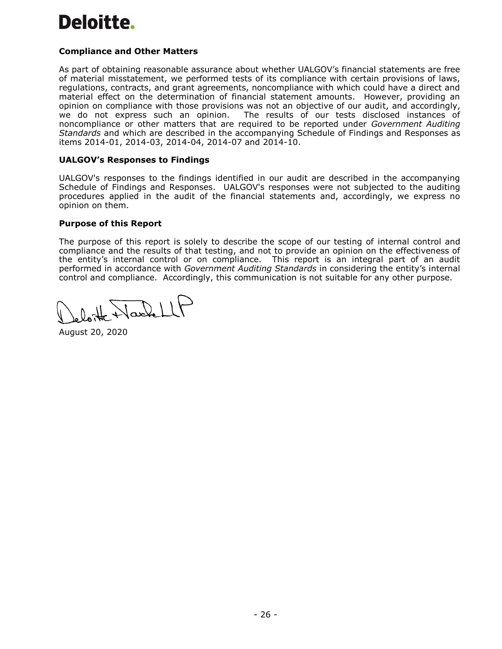# **Compliance and Other Matters**

As part of obtaining reasonable assurance about whether UALGOV's financial statements are free of material misstatement, we performed tests of its compliance with certain provisions of laws, regulations, contracts, and grant agreements, noncompliance with which could have a direct and material effect on the determination of financial statement amounts. However, providing an opinion on compliance with those provisions was not an objective of our audit, and accordingly, we do not express such an opinion. The results of our tests disclosed instances of noncompliance or other matters that are required to be reported under *Government Auditing Standards* and which are described in the accompanying Schedule of Findings and Responses as items 2014-01, 2014-03, 2014-04, 2014-07 and 2014-10.

# **UALGOV's Responses to Findings**

UALGOV's responses to the findings identified in our audit are described in the accompanying Schedule of Findings and Responses. UALGOV's responses were not subjected to the auditing procedures applied in the audit of the financial statements and, accordingly, we express no opinion on them.

#### **Purpose of this Report**

The purpose of this report is solely to describe the scope of our testing of internal control and compliance and the results of that testing, and not to provide an opinion on the effectiveness of the entity's internal control or on compliance. This report is an integral part of an audit performed in accordance with *Government Auditing Standards* in considering the entity's internal control and compliance. Accordingly, this communication is not suitable for any other purpose.

August 20, 2020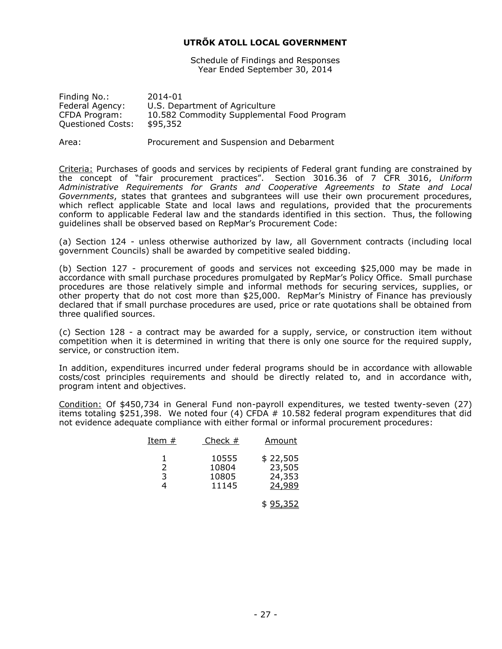Schedule of Findings and Responses Year Ended September 30, 2014

| Finding No.:             | 2014-01                                    |
|--------------------------|--------------------------------------------|
| Federal Agency:          | U.S. Department of Agriculture             |
| CFDA Program:            | 10.582 Commodity Supplemental Food Program |
| <b>Questioned Costs:</b> | \$95,352                                   |
|                          |                                            |

Area: Procurement and Suspension and Debarment

Criteria: Purchases of goods and services by recipients of Federal grant funding are constrained by the concept of "fair procurement practices". Section 3016.36 of 7 CFR 3016, *Uniform Administrative Requirements for Grants and Cooperative Agreements to State and Local Governments*, states that grantees and subgrantees will use their own procurement procedures, which reflect applicable State and local laws and regulations, provided that the procurements conform to applicable Federal law and the standards identified in this section. Thus, the following guidelines shall be observed based on RepMar's Procurement Code:

(a) Section 124 - unless otherwise authorized by law, all Government contracts (including local government Councils) shall be awarded by competitive sealed bidding.

(b) Section 127 - procurement of goods and services not exceeding \$25,000 may be made in accordance with small purchase procedures promulgated by RepMar's Policy Office. Small purchase procedures are those relatively simple and informal methods for securing services, supplies, or other property that do not cost more than \$25,000. RepMar's Ministry of Finance has previously declared that if small purchase procedures are used, price or rate quotations shall be obtained from three qualified sources.

(c) Section 128 - a contract may be awarded for a supply, service, or construction item without competition when it is determined in writing that there is only one source for the required supply, service, or construction item.

In addition, expenditures incurred under federal programs should be in accordance with allowable costs/cost principles requirements and should be directly related to, and in accordance with, program intent and objectives.

Condition: Of \$450,734 in General Fund non-payroll expenditures, we tested twenty-seven (27) items totaling \$251,398. We noted four (4) CFDA # 10.582 federal program expenditures that did not evidence adequate compliance with either formal or informal procurement procedures:

| Item $#$ | Check $#$                        | Amount                                 |
|----------|----------------------------------|----------------------------------------|
| 3        | 10555<br>10804<br>10805<br>11145 | \$22,505<br>23,505<br>24,353<br>24,989 |
|          |                                  |                                        |

\$ 95,352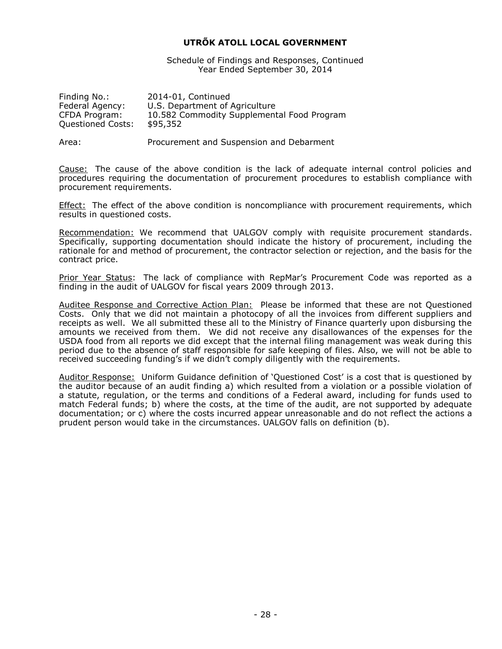Schedule of Findings and Responses, Continued Year Ended September 30, 2014

| 2014-01, Continued                         |
|--------------------------------------------|
| U.S. Department of Agriculture             |
| 10.582 Commodity Supplemental Food Program |
| \$95,352                                   |
|                                            |

Area: Procurement and Suspension and Debarment

Cause: The cause of the above condition is the lack of adequate internal control policies and procedures requiring the documentation of procurement procedures to establish compliance with procurement requirements.

Effect: The effect of the above condition is noncompliance with procurement requirements, which results in questioned costs.

Recommendation: We recommend that UALGOV comply with requisite procurement standards. Specifically, supporting documentation should indicate the history of procurement, including the rationale for and method of procurement, the contractor selection or rejection, and the basis for the contract price.

Prior Year Status: The lack of compliance with RepMar's Procurement Code was reported as a finding in the audit of UALGOV for fiscal years 2009 through 2013.

Auditee Response and Corrective Action Plan: Please be informed that these are not Questioned Costs. Only that we did not maintain a photocopy of all the invoices from different suppliers and receipts as well. We all submitted these all to the Ministry of Finance quarterly upon disbursing the amounts we received from them. We did not receive any disallowances of the expenses for the USDA food from all reports we did except that the internal filing management was weak during this period due to the absence of staff responsible for safe keeping of files. Also, we will not be able to received succeeding funding's if we didn't comply diligently with the requirements.

Auditor Response: Uniform Guidance definition of 'Questioned Cost' is a cost that is questioned by the auditor because of an audit finding a) which resulted from a violation or a possible violation of a statute, regulation, or the terms and conditions of a Federal award, including for funds used to match Federal funds; b) where the costs, at the time of the audit, are not supported by adequate documentation; or c) where the costs incurred appear unreasonable and do not reflect the actions a prudent person would take in the circumstances. UALGOV falls on definition (b).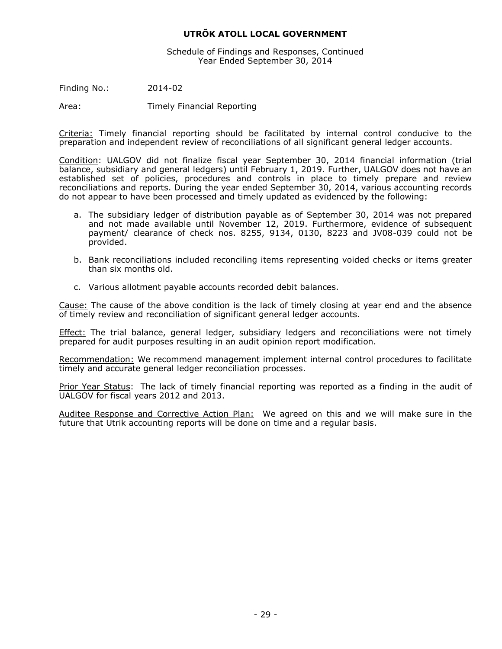Schedule of Findings and Responses, Continued Year Ended September 30, 2014

Finding No.: 2014-02

Area: Timely Financial Reporting

Criteria: Timely financial reporting should be facilitated by internal control conducive to the preparation and independent review of reconciliations of all significant general ledger accounts.

Condition: UALGOV did not finalize fiscal year September 30, 2014 financial information (trial balance, subsidiary and general ledgers) until February 1, 2019. Further, UALGOV does not have an established set of policies, procedures and controls in place to timely prepare and review reconciliations and reports. During the year ended September 30, 2014, various accounting records do not appear to have been processed and timely updated as evidenced by the following:

- a. The subsidiary ledger of distribution payable as of September 30, 2014 was not prepared and not made available until November 12, 2019. Furthermore, evidence of subsequent payment/ clearance of check nos. 8255, 9134, 0130, 8223 and JV08-039 could not be provided.
- b. Bank reconciliations included reconciling items representing voided checks or items greater than six months old.
- c. Various allotment payable accounts recorded debit balances.

Cause: The cause of the above condition is the lack of timely closing at year end and the absence of timely review and reconciliation of significant general ledger accounts.

**Effect:** The trial balance, general ledger, subsidiary ledgers and reconciliations were not timely prepared for audit purposes resulting in an audit opinion report modification.

Recommendation: We recommend management implement internal control procedures to facilitate timely and accurate general ledger reconciliation processes.

Prior Year Status: The lack of timely financial reporting was reported as a finding in the audit of UALGOV for fiscal years 2012 and 2013.

Auditee Response and Corrective Action Plan: We agreed on this and we will make sure in the future that Utrik accounting reports will be done on time and a regular basis.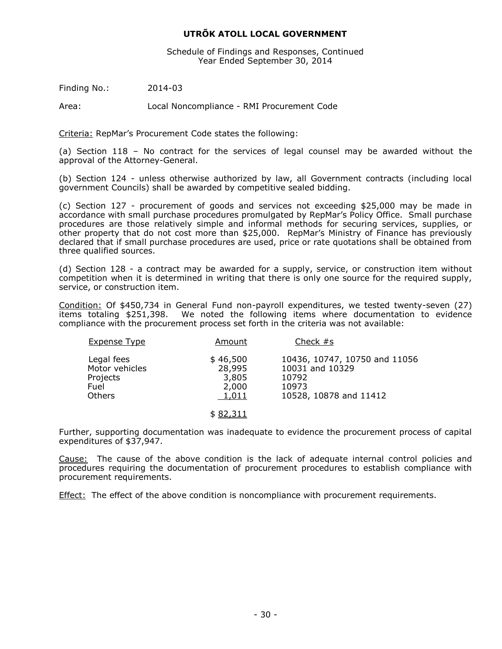Schedule of Findings and Responses, Continued Year Ended September 30, 2014

Finding No.: 2014-03

Area: Local Noncompliance - RMI Procurement Code

Criteria: RepMar's Procurement Code states the following:

(a) Section 118 – No contract for the services of legal counsel may be awarded without the approval of the Attorney-General.

(b) Section 124 - unless otherwise authorized by law, all Government contracts (including local government Councils) shall be awarded by competitive sealed bidding.

(c) Section 127 - procurement of goods and services not exceeding \$25,000 may be made in accordance with small purchase procedures promulgated by RepMar's Policy Office. Small purchase procedures are those relatively simple and informal methods for securing services, supplies, or other property that do not cost more than \$25,000. RepMar's Ministry of Finance has previously declared that if small purchase procedures are used, price or rate quotations shall be obtained from three qualified sources.

(d) Section 128 - a contract may be awarded for a supply, service, or construction item without competition when it is determined in writing that there is only one source for the required supply, service, or construction item.

Condition: Of \$450,734 in General Fund non-payroll expenditures, we tested twenty-seven (27) items totaling \$251,398. We noted the following items where documentation to evidence We noted the following items where documentation to evidence compliance with the procurement process set forth in the criteria was not available:

| <b>Expense Type</b>                                               | Amount                                        | Check $#s$                                                                                   |
|-------------------------------------------------------------------|-----------------------------------------------|----------------------------------------------------------------------------------------------|
| Legal fees<br>Motor vehicles<br>Projects<br>Fuel<br><b>Others</b> | \$46,500<br>28,995<br>3,805<br>2,000<br>1,011 | 10436, 10747, 10750 and 11056<br>10031 and 10329<br>10792<br>10973<br>10528, 10878 and 11412 |
|                                                                   |                                               |                                                                                              |

#### \$ 82,311

Further, supporting documentation was inadequate to evidence the procurement process of capital expenditures of \$37,947.

Cause: The cause of the above condition is the lack of adequate internal control policies and procedures requiring the documentation of procurement procedures to establish compliance with procurement requirements.

**Effect:** The effect of the above condition is noncompliance with procurement requirements.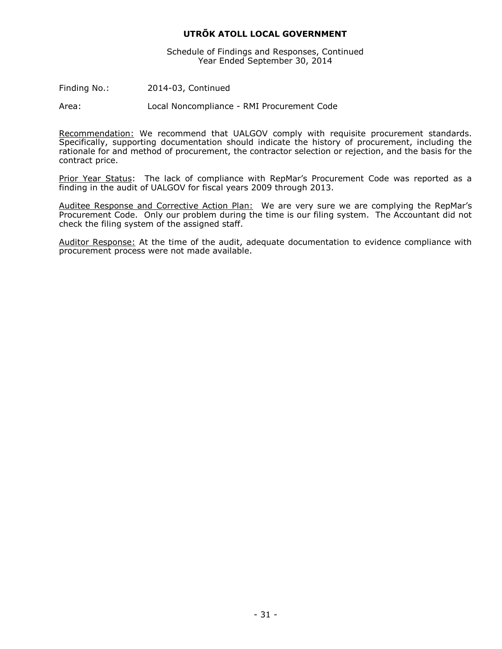Schedule of Findings and Responses, Continued Year Ended September 30, 2014

Finding No.: 2014-03, Continued

Area: Local Noncompliance - RMI Procurement Code

Recommendation: We recommend that UALGOV comply with requisite procurement standards. Specifically, supporting documentation should indicate the history of procurement, including the rationale for and method of procurement, the contractor selection or rejection, and the basis for the contract price.

Prior Year Status: The lack of compliance with RepMar's Procurement Code was reported as a finding in the audit of UALGOV for fiscal years 2009 through 2013.

Auditee Response and Corrective Action Plan: We are very sure we are complying the RepMar's Procurement Code. Only our problem during the time is our filing system. The Accountant did not check the filing system of the assigned staff.

Auditor Response: At the time of the audit, adequate documentation to evidence compliance with procurement process were not made available.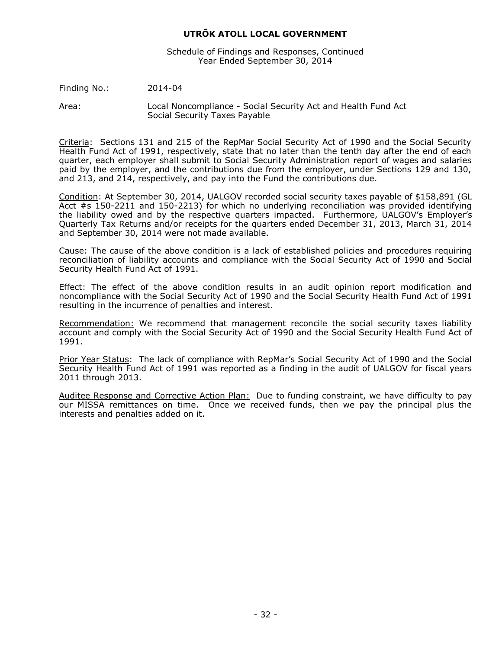Schedule of Findings and Responses, Continued Year Ended September 30, 2014

Finding No.: 2014-04

Area: Local Noncompliance - Social Security Act and Health Fund Act Social Security Taxes Payable

Criteria: Sections 131 and 215 of the RepMar Social Security Act of 1990 and the Social Security Health Fund Act of 1991, respectively, state that no later than the tenth day after the end of each quarter, each employer shall submit to Social Security Administration report of wages and salaries paid by the employer, and the contributions due from the employer, under Sections 129 and 130, and 213, and 214, respectively, and pay into the Fund the contributions due.

Condition: At September 30, 2014, UALGOV recorded social security taxes payable of \$158,891 (GL Acct #s 150-2211 and 150-2213) for which no underlying reconciliation was provided identifying the liability owed and by the respective quarters impacted. Furthermore, UALGOV's Employer's Quarterly Tax Returns and/or receipts for the quarters ended December 31, 2013, March 31, 2014 and September 30, 2014 were not made available.

Cause: The cause of the above condition is a lack of established policies and procedures requiring reconciliation of liability accounts and compliance with the Social Security Act of 1990 and Social Security Health Fund Act of 1991.

Effect: The effect of the above condition results in an audit opinion report modification and noncompliance with the Social Security Act of 1990 and the Social Security Health Fund Act of 1991 resulting in the incurrence of penalties and interest.

Recommendation: We recommend that management reconcile the social security taxes liability account and comply with the Social Security Act of 1990 and the Social Security Health Fund Act of 1991.

Prior Year Status: The lack of compliance with RepMar's Social Security Act of 1990 and the Social Security Health Fund Act of 1991 was reported as a finding in the audit of UALGOV for fiscal years 2011 through 2013.

Auditee Response and Corrective Action Plan: Due to funding constraint, we have difficulty to pay our MISSA remittances on time. Once we received funds, then we pay the principal plus the interests and penalties added on it.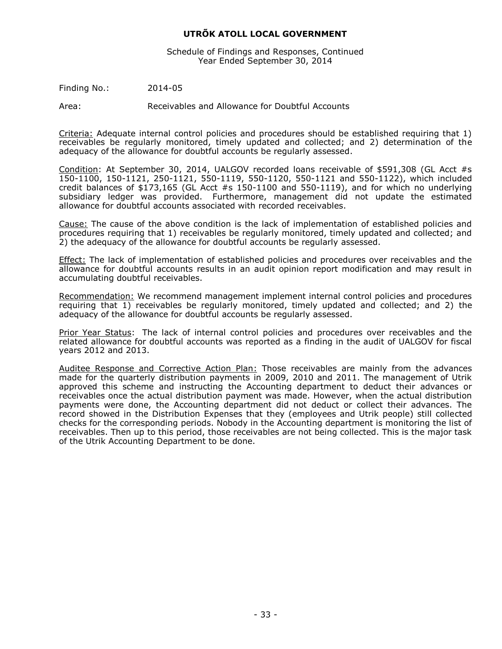Schedule of Findings and Responses, Continued Year Ended September 30, 2014

Finding No.: 2014-05

Area: Receivables and Allowance for Doubtful Accounts

Criteria: Adequate internal control policies and procedures should be established requiring that 1) receivables be regularly monitored, timely updated and collected; and 2) determination of the adequacy of the allowance for doubtful accounts be regularly assessed.

Condition: At September 30, 2014, UALGOV recorded loans receivable of \$591,308 (GL Acct #s 150-1100, 150-1121, 250-1121, 550-1119, 550-1120, 550-1121 and 550-1122), which included credit balances of \$173,165 (GL Acct #s 150-1100 and 550-1119), and for which no underlying subsidiary ledger was provided. Furthermore, management did not update the estimated allowance for doubtful accounts associated with recorded receivables.

Cause: The cause of the above condition is the lack of implementation of established policies and procedures requiring that 1) receivables be regularly monitored, timely updated and collected; and 2) the adequacy of the allowance for doubtful accounts be regularly assessed.

Effect: The lack of implementation of established policies and procedures over receivables and the allowance for doubtful accounts results in an audit opinion report modification and may result in accumulating doubtful receivables.

Recommendation: We recommend management implement internal control policies and procedures requiring that 1) receivables be regularly monitored, timely updated and collected; and 2) the adequacy of the allowance for doubtful accounts be regularly assessed.

Prior Year Status: The lack of internal control policies and procedures over receivables and the related allowance for doubtful accounts was reported as a finding in the audit of UALGOV for fiscal years 2012 and 2013.

Auditee Response and Corrective Action Plan: Those receivables are mainly from the advances made for the quarterly distribution payments in 2009, 2010 and 2011. The management of Utrik approved this scheme and instructing the Accounting department to deduct their advances or receivables once the actual distribution payment was made. However, when the actual distribution payments were done, the Accounting department did not deduct or collect their advances. The record showed in the Distribution Expenses that they (employees and Utrik people) still collected checks for the corresponding periods. Nobody in the Accounting department is monitoring the list of receivables. Then up to this period, those receivables are not being collected. This is the major task of the Utrik Accounting Department to be done.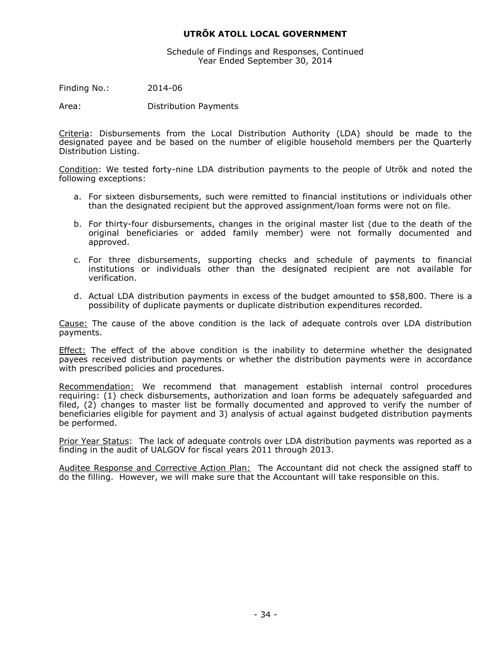Schedule of Findings and Responses, Continued Year Ended September 30, 2014

Finding No.: 2014-06

Area: Distribution Payments

Criteria: Disbursements from the Local Distribution Authority (LDA) should be made to the designated payee and be based on the number of eligible household members per the Quarterly Distribution Listing.

Condition: We tested forty-nine LDA distribution payments to the people of Utrõk and noted the following exceptions:

- a. For sixteen disbursements, such were remitted to financial institutions or individuals other than the designated recipient but the approved assignment/loan forms were not on file.
- b. For thirty-four disbursements, changes in the original master list (due to the death of the original beneficiaries or added family member) were not formally documented and approved.
- c. For three disbursements, supporting checks and schedule of payments to financial institutions or individuals other than the designated recipient are not available for verification.
- d. Actual LDA distribution payments in excess of the budget amounted to \$58,800. There is a possibility of duplicate payments or duplicate distribution expenditures recorded.

Cause: The cause of the above condition is the lack of adequate controls over LDA distribution payments.

Effect: The effect of the above condition is the inability to determine whether the designated payees received distribution payments or whether the distribution payments were in accordance with prescribed policies and procedures.

Recommendation: We recommend that management establish internal control procedures requiring: (1) check disbursements, authorization and loan forms be adequately safeguarded and filed, (2) changes to master list be formally documented and approved to verify the number of beneficiaries eligible for payment and 3) analysis of actual against budgeted distribution payments be performed.

Prior Year Status: The lack of adequate controls over LDA distribution payments was reported as a finding in the audit of UALGOV for fiscal years 2011 through 2013.

Auditee Response and Corrective Action Plan: The Accountant did not check the assigned staff to do the filling. However, we will make sure that the Accountant will take responsible on this.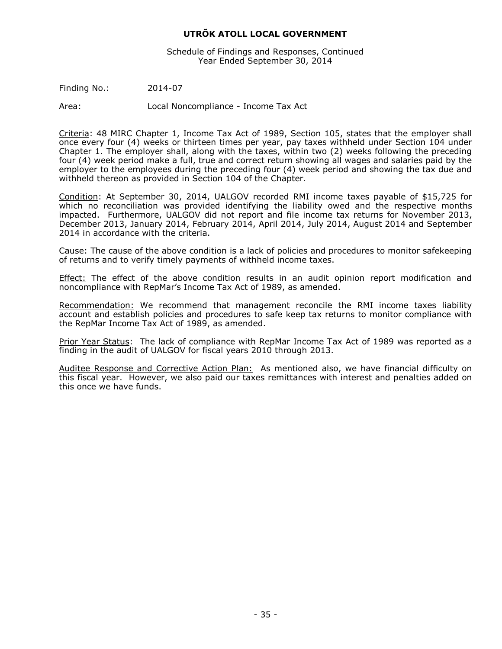Schedule of Findings and Responses, Continued Year Ended September 30, 2014

Finding No.: 2014-07

Area: Local Noncompliance - Income Tax Act

Criteria: 48 MIRC Chapter 1, Income Tax Act of 1989, Section 105, states that the employer shall once every four (4) weeks or thirteen times per year, pay taxes withheld under Section 104 under Chapter 1. The employer shall, along with the taxes, within two (2) weeks following the preceding four (4) week period make a full, true and correct return showing all wages and salaries paid by the employer to the employees during the preceding four (4) week period and showing the tax due and withheld thereon as provided in Section 104 of the Chapter.

Condition: At September 30, 2014, UALGOV recorded RMI income taxes payable of \$15,725 for which no reconciliation was provided identifying the liability owed and the respective months impacted. Furthermore, UALGOV did not report and file income tax returns for November 2013, December 2013, January 2014, February 2014, April 2014, July 2014, August 2014 and September 2014 in accordance with the criteria.

Cause: The cause of the above condition is a lack of policies and procedures to monitor safekeeping of returns and to verify timely payments of withheld income taxes.

**Effect:** The effect of the above condition results in an audit opinion report modification and noncompliance with RepMar's Income Tax Act of 1989, as amended.

Recommendation: We recommend that management reconcile the RMI income taxes liability account and establish policies and procedures to safe keep tax returns to monitor compliance with the RepMar Income Tax Act of 1989, as amended.

Prior Year Status: The lack of compliance with RepMar Income Tax Act of 1989 was reported as a finding in the audit of UALGOV for fiscal years 2010 through 2013.

Auditee Response and Corrective Action Plan: As mentioned also, we have financial difficulty on this fiscal year. However, we also paid our taxes remittances with interest and penalties added on this once we have funds.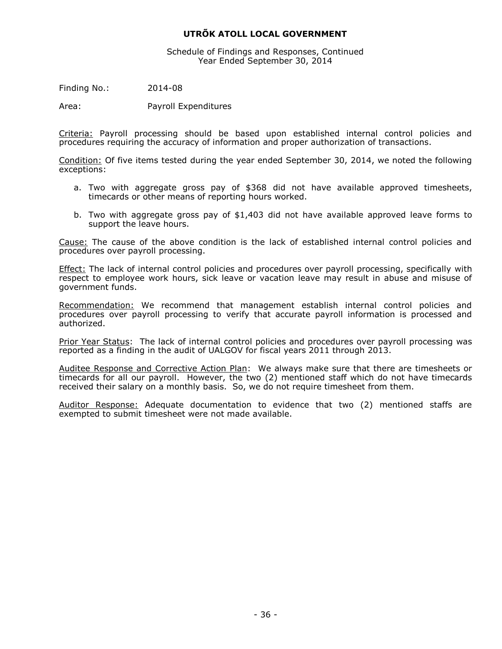Schedule of Findings and Responses, Continued Year Ended September 30, 2014

Finding No.: 2014-08

Area: Payroll Expenditures

Criteria: Payroll processing should be based upon established internal control policies and procedures requiring the accuracy of information and proper authorization of transactions.

Condition: Of five items tested during the year ended September 30, 2014, we noted the following exceptions:

- a. Two with aggregate gross pay of \$368 did not have available approved timesheets, timecards or other means of reporting hours worked.
- b. Two with aggregate gross pay of \$1,403 did not have available approved leave forms to support the leave hours.

Cause: The cause of the above condition is the lack of established internal control policies and procedures over payroll processing.

Effect: The lack of internal control policies and procedures over payroll processing, specifically with respect to employee work hours, sick leave or vacation leave may result in abuse and misuse of government funds.

Recommendation: We recommend that management establish internal control policies and procedures over payroll processing to verify that accurate payroll information is processed and authorized.

Prior Year Status: The lack of internal control policies and procedures over payroll processing was reported as a finding in the audit of UALGOV for fiscal years 2011 through 2013.

Auditee Response and Corrective Action Plan: We always make sure that there are timesheets or timecards for all our payroll. However, the two (2) mentioned staff which do not have timecards received their salary on a monthly basis. So, we do not require timesheet from them.

Auditor Response: Adequate documentation to evidence that two (2) mentioned staffs are exempted to submit timesheet were not made available.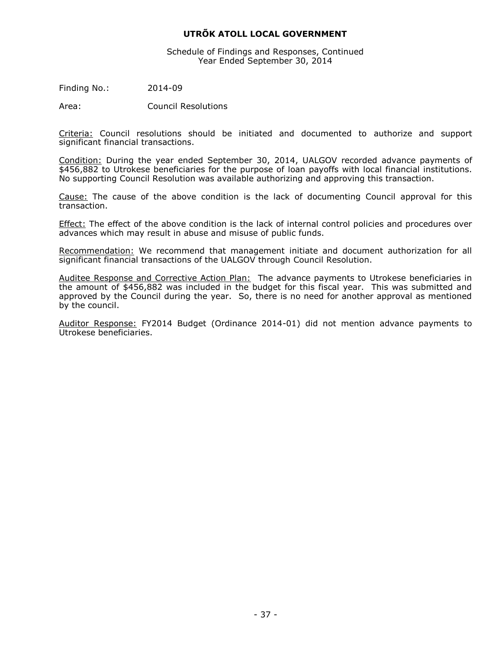Schedule of Findings and Responses, Continued Year Ended September 30, 2014

Finding No.: 2014-09

Area: Council Resolutions

Criteria: Council resolutions should be initiated and documented to authorize and support significant financial transactions.

Condition: During the year ended September 30, 2014, UALGOV recorded advance payments of \$456,882 to Utrokese beneficiaries for the purpose of loan payoffs with local financial institutions. No supporting Council Resolution was available authorizing and approving this transaction.

Cause: The cause of the above condition is the lack of documenting Council approval for this transaction.

Effect: The effect of the above condition is the lack of internal control policies and procedures over advances which may result in abuse and misuse of public funds.

Recommendation: We recommend that management initiate and document authorization for all significant financial transactions of the UALGOV through Council Resolution.

Auditee Response and Corrective Action Plan: The advance payments to Utrokese beneficiaries in the amount of \$456,882 was included in the budget for this fiscal year. This was submitted and approved by the Council during the year. So, there is no need for another approval as mentioned by the council.

Auditor Response: FY2014 Budget (Ordinance 2014-01) did not mention advance payments to Utrokese beneficiaries.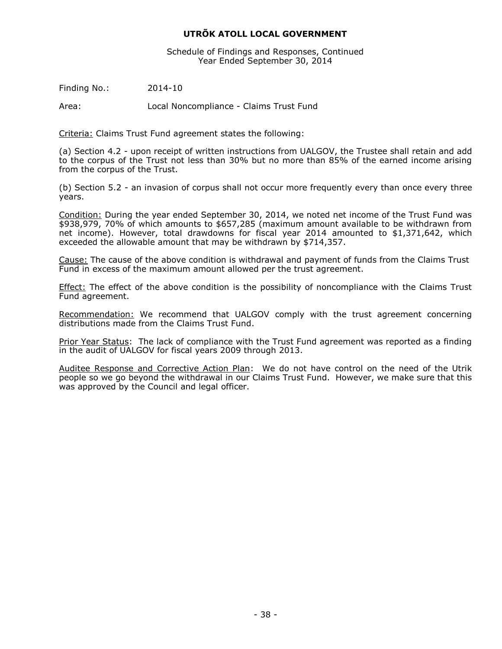Schedule of Findings and Responses, Continued Year Ended September 30, 2014

Finding No.: 2014-10

Area: Local Noncompliance - Claims Trust Fund

Criteria: Claims Trust Fund agreement states the following:

(a) Section 4.2 - upon receipt of written instructions from UALGOV, the Trustee shall retain and add to the corpus of the Trust not less than 30% but no more than 85% of the earned income arising from the corpus of the Trust.

(b) Section 5.2 - an invasion of corpus shall not occur more frequently every than once every three years.

Condition: During the year ended September 30, 2014, we noted net income of the Trust Fund was \$938,979, 70% of which amounts to \$657,285 (maximum amount available to be withdrawn from net income). However, total drawdowns for fiscal year 2014 amounted to \$1,371,642, which exceeded the allowable amount that may be withdrawn by \$714,357.

Cause: The cause of the above condition is withdrawal and payment of funds from the Claims Trust Fund in excess of the maximum amount allowed per the trust agreement.

Effect: The effect of the above condition is the possibility of noncompliance with the Claims Trust Fund agreement.

Recommendation: We recommend that UALGOV comply with the trust agreement concerning distributions made from the Claims Trust Fund.

Prior Year Status: The lack of compliance with the Trust Fund agreement was reported as a finding in the audit of UALGOV for fiscal years 2009 through 2013.

Auditee Response and Corrective Action Plan: We do not have control on the need of the Utrik people so we go beyond the withdrawal in our Claims Trust Fund. However, we make sure that this was approved by the Council and legal officer.